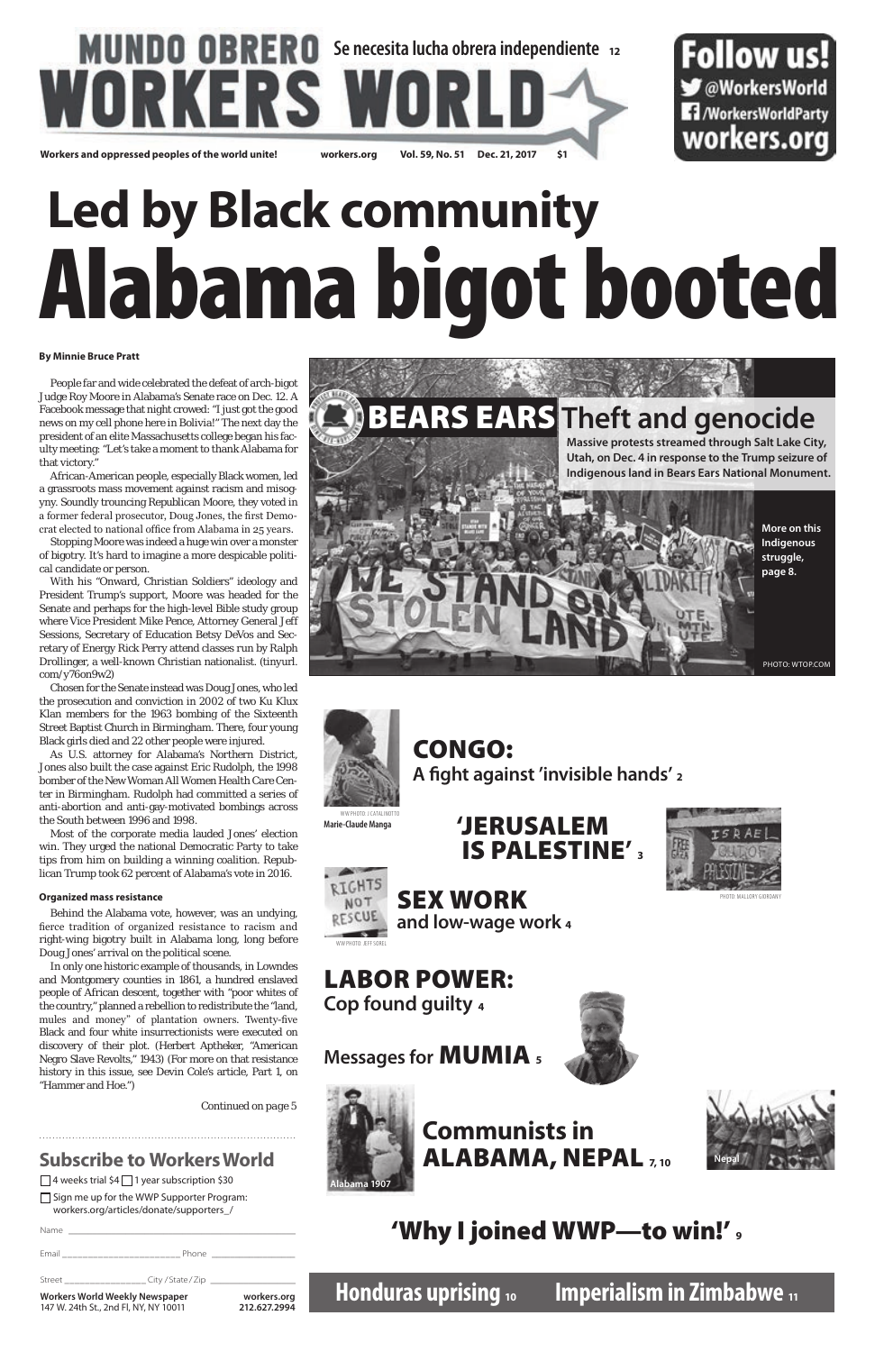## **MUNDO OBRERO** Se necesita lucha obrera independiente 12 **WORKERS W**

**Workers and oppressed peoples of the world unite! workers.org Vol. 59, No. 51 Dec. 21, 2017 \$1**

Sign me up for the WWP Supporter Program: workers.org/articles/donate/supporters\_/

### **Subscribe to Workers World**

 $\Box$  4 weeks trial \$4  $\Box$  1 year subscription \$30

Name \_\_\_\_\_\_\_\_\_\_\_\_\_\_\_\_\_\_\_\_\_\_\_\_\_\_\_\_\_\_\_\_\_\_\_\_\_\_\_\_\_\_\_\_\_\_\_\_ Email \_\_\_\_\_\_\_\_\_\_\_\_\_\_\_\_\_\_\_\_\_\_\_ Phone \_\_\_\_\_\_\_\_\_\_\_\_\_\_\_\_\_\_ Street \_\_\_\_\_\_\_\_\_\_\_\_\_\_\_\_ City / State / Zip \_\_\_\_\_\_\_\_\_\_\_\_\_\_\_\_\_\_ **Workers World Weekly Newspaper workers.org** 147 W. 24th St., 2nd Fl, NY, NY 10011 **212.627.2994**

#### **By Minnie Bruce Pratt**

People far and wide celebrated the defeat of arch-bigot Judge Roy Moore in Alabama's Senate race on Dec. 12. A Facebook message that night crowed: "I just got the good news on my cell phone here in Bolivia!" The next day the president of an elite Massachusetts college began his faculty meeting: "Let's take a moment to thank Alabama for that victory."

African-American people, especially Black women, led a grassroots mass movement against racism and misogyny. Soundly trouncing Republican Moore, they voted in a former federal prosecutor, Doug Jones, the first Democrat elected to national office from Alabama in 25 years.

Stopping Moore was indeed a huge win over a monster of bigotry. It's hard to imagine a more despicable political candidate or person.

With his "Onward, Christian Soldiers" ideology and President Trump's support, Moore was headed for the Senate and perhaps for the high-level Bible study group where Vice President Mike Pence, Attorney General Jeff Sessions, Secretary of Education Betsy DeVos and Secretary of Energy Rick Perry attend classes run by Ralph Drollinger, a well-known Christian nationalist. (tinyurl. com/y76on9w2)

Chosen for the Senate instead was Doug Jones, who led the prosecution and conviction in 2002 of two Ku Klux Klan members for the 1963 bombing of the Sixteenth Street Baptist Church in Birmingham. There, four young Black girls died and 22 other people were injured.

As U.S. attorney for Alabama's Northern District, Jones also built the case against Eric Rudolph, the 1998 bomber of the New Woman All Women Health Care Center in Birmingham. Rudolph had committed a series of anti-abortion and anti-gay-motivated bombings across the South between 1996 and 1998.

Most of the corporate media lauded Jones' election win. They urged the national Democratic Party to take tips from him on building a winning coalition. Republican Trump took 62 percent of Alabama's vote in 2016.

#### **Organized mass resistance**

Behind the Alabama vote, however, was an undying, fierce tradition of organized resistance to racism and right-wing bigotry built in Alabama long, long before Doug Jones' arrival on the political scene.

In only one historic example of thousands, in Lowndes and Montgomery counties in 1861, a hundred enslaved people of African descent, together with "poor whites of the country," planned a rebellion to redistribute the "land, mules and money" of plantation owners. Twenty-five Black and four white insurrectionists were executed on discovery of their plot. (Herbert Aptheker, "American Negro Slave Revolts," 1943) (For more on that resistance history in this issue, see Devin Cole's article, Part 1, on "Hammer and Hoe.")

*Continued on page 5*

### **Honduras uprising <sup>10</sup> Imperialism in Zimbabwe <sup>11</sup>**



### CONGO: **A fight against 'invisible hands' <sup>2</sup>**

### **'**JERUSALEM IS PALESTINE**' 3**



### LABOR POWER**:**



**Cop found guilty <sup>4</sup>**

**Messages for** MUMIA **<sup>5</sup>**



### **Communists in** ALABAMA, NEPAL **7, 10**

### 'Why I joined WWP—to win!' **<sup>9</sup>**







**Marie-Claude Manga**

PHOTO: MALLORY GIORDANY

Follow us!

**◆ @WorkersWorld** 

**1** /WorkersWorldParty

workers.org



# **Led by Black community** Alabama bigot booted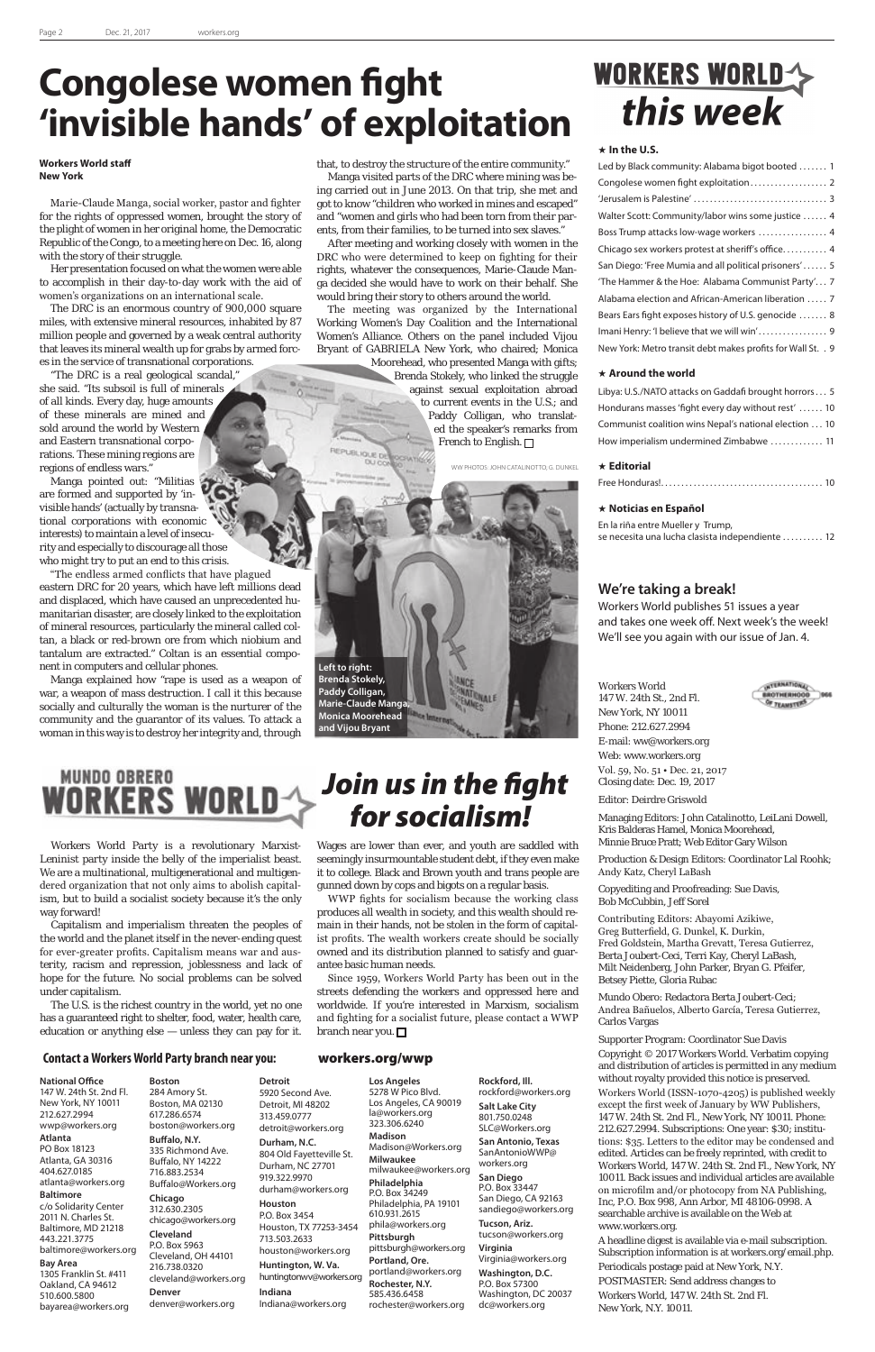#### Workers World

147 W. 24th St., 2nd Fl. New York, NY 10011 Phone: 212.627.2994 E-mail: ww@workers.org Web: www.workers.org Vol. 59, No. 51 • Dec. 21, 2017 Closing date: Dec. 19, 2017

Editor: Deirdre Griswold

Managing Editors: John Catalinotto, LeiLani Dowell, Kris Balderas Hamel, Monica Moorehead, Minnie Bruce Pratt; Web Editor Gary Wilson

Production & Design Editors: Coordinator Lal Roohk; Andy Katz, Cheryl LaBash

Copyediting and Proofreading: Sue Davis, Bob McCubbin, Jeff Sorel

Contributing Editors: Abayomi Azikiwe, Greg Butterfield, G. Dunkel, K. Durkin, Fred Goldstein, Martha Grevatt, Teresa Gutierrez, Berta Joubert-Ceci, Terri Kay, Cheryl LaBash, Milt Neidenberg, John Parker, Bryan G. Pfeifer, Betsey Piette, Gloria Rubac

Mundo Obero: Redactora Berta Joubert-Ceci; Andrea Bañuelos, Alberto García, Teresa Gutierrez, Carlos Vargas

#### Supporter Program: Coordinator Sue Davis

Copyright © 2017 Workers World. Verbatim copying and distribution of articles is permitted in any medium without royalty provided this notice is preserved. Workers World (ISSN-1070-4205) is published weekly except the first week of January by WW Publishers, 147 W. 24th St. 2nd Fl., New York, NY 10011. Phone: 212.627.2994. Subscriptions: One year: \$30; institutions: \$35. Letters to the editor may be condensed and edited. Articles can be freely reprinted, with credit to Workers World, 147 W. 24th St. 2nd Fl., New York, NY 10011. Back issues and individual articles are available on microfilm and/or photocopy from NA Publishing, Inc, P.O. Box 998, Ann Arbor, MI 48106-0998. A searchable archive is available on the Web at www.workers.org.

A headline digest is available via e-mail subscription. Subscription information is at workers.org/email.php. Periodicals postage paid at New York, N.Y. POSTMASTER: Send address changes to Workers World, 147 W. 24th St. 2nd Fl. New York, N.Y. 10011.

#### **Contact a Workers World Party branch near you:** workers.org/wwp

#### **National Office**

147 W. 24th St. 2nd Fl. New York, NY 10011 212.627.2994 wwp@workers.org

#### **Atlanta**

PO Box 18123 Atlanta, GA 30316 404.627.0185 atlanta@workers.org

#### **Baltimore**

c/o Solidarity Center 2011 N. Charles St. Baltimore, MD 21218 443.221.3775 baltimore@workers.org

#### **Bay Area**

1305 Franklin St. #411 Oakland, CA 94612 510.600.5800 bayarea@workers.org **Boston** 284 Amory St. Boston, MA 02130 617.286.6574 boston@workers.org **Buffalo, N.Y.**

335 Richmond Ave. Buffalo, NY 14222 716.883.2534 Buffalo@Workers.org

Since 1959, Workers World Party has been out in the reets defending the workers and oppressed here worldwide. If you're interested in Marxism, socialism and fighting for a socialist future, please contact a WWP branch near you.  $\square$ 

## WORKERS WORLD this week

#### **Chicago**

312.630.2305 chicago@workers.org **Cleveland** P.O. Box 5963 Cleveland, OH 44101 216.738.0320 cleveland@workers.org **Denver** denver@workers.org

**Detroit**

313.459.0777

**Houston**

713.503.2633

**Indiana**

5920 Second Ave. Detroit, MI 48202 detroit@workers.org **Durham, N.C.** 804 Old Fayetteville St. Durham, NC 27701 919.322.9970 durham@workers.org P.O. Box 3454 Houston, TX 77253-3454 houston@workers.org **Huntington, W. Va.** huntingtonwv@workers.org Indiana@workers.org **Los Angeles** 5278 W Pico Blvd. Los Angeles, CA 90019 la@workers.org 323.306.6240 **Madison** Madison@Workers.org **Milwaukee** milwaukee@workers.org **Philadelphia** P.O. Box 34249 Philadelphia, PA 19101 610.931.2615 phila@workers.org **Pittsburgh** pittsburgh@workers.org **Portland, Ore.** portland@workers.org **Rochester, N.Y.** 585.436.6458 rochester@workers.org

Libya: U.S./NATO attacks on Gaddafi brought horrors . . 5 Hondurans masses 'fight every day without rest' ...... 10 Communist coalition wins Nepal's national election . . 10 How imperialism undermined Zimbabwe ............. 11

En la riña entre Mueller y Trump, se necesita una lucha clasista independiente .......... 12

**Rockford, Ill.** rockford@workers.org **Salt Lake City** 801.750.0248 SLC@Workers.org **San Antonio, Texas** SanAntonioWWP@ workers.org **San Diego** P.O. Box 33447 San Diego, CA 92163 sandiego@workers.org **Tucson, Ariz.** tucson@workers.org Virginia@workers.org **Washington, D.C.** P.O. Box 57300

**Virginia**  Washington, DC 20037 dc@workers.org

### *Join us in the fight for socialism!*

Workers World Party is a revolutionary Marxist-Leninist party inside the belly of the imperialist beast. We are a multinational, multigenerational and multigendered organization that not only aims to abolish capitalism, but to build a socialist society because it's the only way forward!

Capitalism and imperialism threaten the peoples of the world and the planet itself in the never-ending quest for ever-greater profits. Capitalism means war and austerity, racism and repression, joblessness and lack of hope for the future. No social problems can be solved under capitalism.

The U.S. is the richest country in the world, yet no one has a guaranteed right to shelter, food, water, health care, education or anything else — unless they can pay for it. Wages are lower than ever, and youth are saddled with seemingly insurmountable student debt, if they even make it to college. Black and Brown youth and trans people are gunned down by cops and bigots on a regular basis.

Moorehead, who presented Manga with gifts; Brenda Stokely, who linked the struggle against sexual exploitation abroad to current events in the U.S.; and Paddy Colligan, who translated the speaker's remarks from French to English. □

WWP fights for socialism because the working class produces all wealth in society, and this wealth should remain in their hands, not be stolen in the form of capitalist profits. The wealth workers create should be socially owned and its distribution planned to satisfy and guarantee basic human needs.

#### **In the U.S.**

| Led by Black community: Alabama bigot booted  1             |
|-------------------------------------------------------------|
|                                                             |
|                                                             |
| Walter Scott: Community/labor wins some justice 4           |
| Boss Trump attacks low-wage workers  4                      |
| Chicago sex workers protest at sheriff's office 4           |
| San Diego: 'Free Mumia and all political prisoners' 5       |
| 'The Hammer & the Hoe: Alabama Communist Party' 7           |
| Alabama election and African-American liberation  7         |
| Bears Ears fight exposes history of U.S. genocide  8        |
| Imani Henry: 'I believe that we will win' 9                 |
| New York: Metro transit debt makes profits for Wall St. . 9 |

#### **Around the world**

#### **Editorial**

|--|--|

#### **Noticias en Español**

## **Congolese women fight 'invisible hands' of exploitation**

#### **We're taking a break!**

Workers World publishes 51 issues a year and takes one week off. Next week's the week! We'll see you again with our issue of Jan. 4.

#### **Workers World staff New York**

Marie-Claude Manga, social worker, pastor and fighter for the rights of oppressed women, brought the story of the plight of women in her original home, the Democratic Republic of the Congo, to a meeting here on Dec. 16, along with the story of their struggle.

Her presentation focused on what the women were able to accomplish in their day-to-day work with the aid of women's organizations on an international scale.

The DRC is an enormous country of 900,000 square miles, with extensive mineral resources, inhabited by 87 million people and governed by a weak central authority that leaves its mineral wealth up for grabs by armed forces in the service of transnational corporations.

"The DRC is a real geological scandal," she said. "Its subsoil is full of minerals of all kinds. Every day, huge amounts of these minerals are mined and sold around the world by Western and Eastern transnational corporations. These mining regions are regions of endless wars."

Manga pointed out: "Militias are formed and supported by 'invisible hands' (actually by transnational corporations with economic interests) to maintain a level of insecurity and especially to discourage all those who might try to put an end to this crisis.

"The endless armed conflicts that have plagued eastern DRC for 20 years, which have left millions dead and displaced, which have caused an unprecedented humanitarian disaster, are closely linked to the exploitation of mineral resources, particularly the mineral called coltan, a black or red-brown ore from which niobium and tantalum are extracted." Coltan is an essential component in computers and cellular phones.

Manga explained how "rape is used as a weapon of war, a weapon of mass destruction. I call it this because socially and culturally the woman is the nurturer of the community and the guarantor of its values. To attack a woman in this way is to destroy her integrity and, through



that, to destroy the structure of the entire community."

Manga visited parts of the DRC where mining was being carried out in June 2013. On that trip, she met and got to know "children who worked in mines and escaped" and "women and girls who had been torn from their parents, from their families, to be turned into sex slaves."

After meeting and working closely with women in the DRC who were determined to keep on fighting for their rights, whatever the consequences, Marie-Claude Manga decided she would have to work on their behalf. She would bring their story to others around the world.

The meeting was organized by the International Working Women's Day Coalition and the International Women's Alliance. Others on the panel included Vijou Bryant of GABRIELA New York, who chaired; Monica

#### WW PHOTOS: JOHN CATALINOTTO; G. DUNKEL

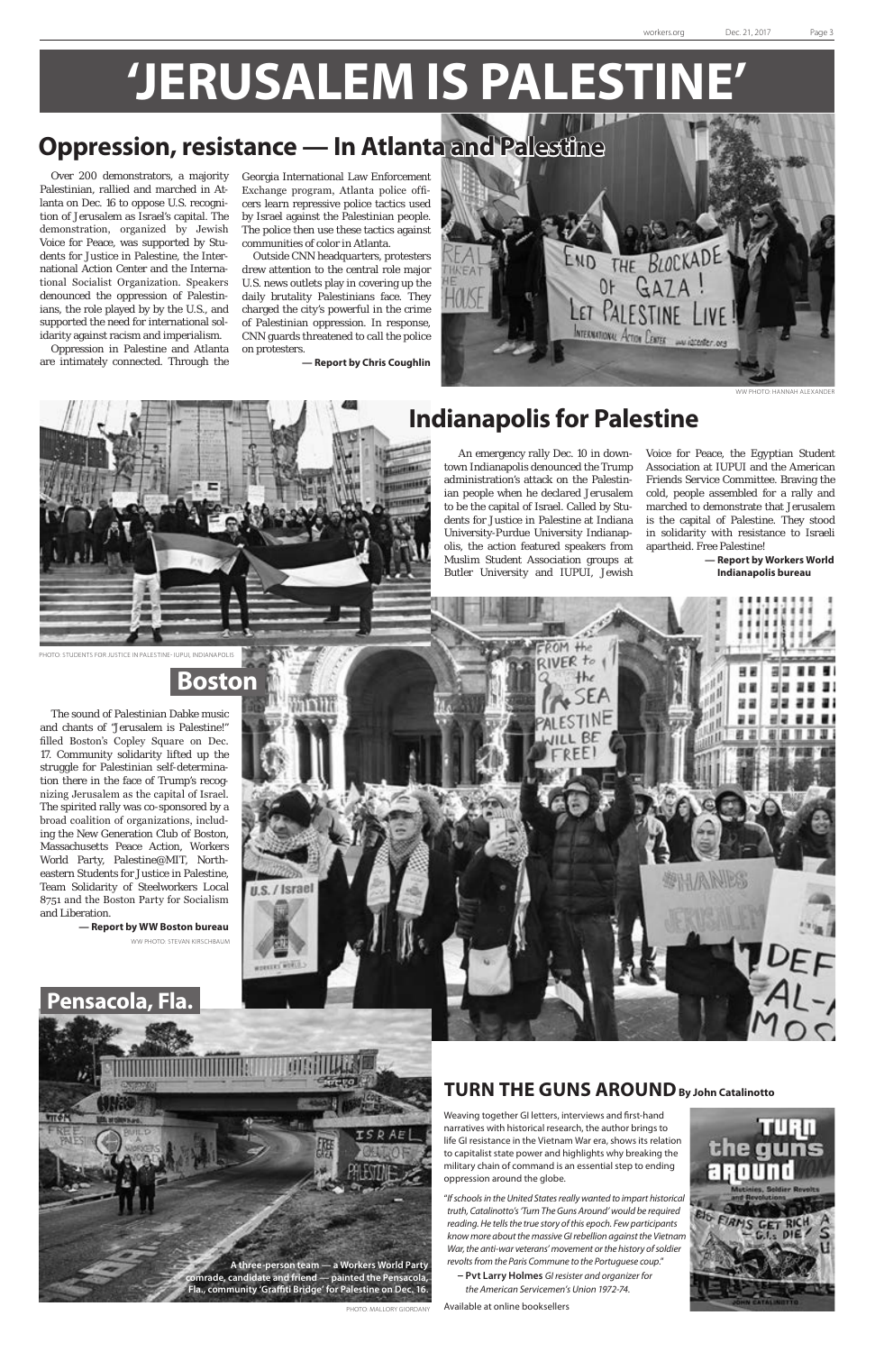Over 200 demonstrators, a majority Palestinian, rallied and marched in Atlanta on Dec. 16 to oppose U.S. recognition of Jerusalem as Israel's capital. The demonstration, organized by Jewish Voice for Peace, was supported by Students for Justice in Palestine, the International Action Center and the International Socialist Organization. Speakers denounced the oppression of Palestinians, the role played by by the U.S., and supported the need for international solidarity against racism and imperialism.

Oppression in Palestine and Atlanta are intimately connected. Through the

Georgia International Law Enforcement Exchange program, Atlanta police officers learn repressive police tactics used by Israel against the Palestinian people. The police then use these tactics against communities of color in Atlanta.

Outside CNN headquarters, protesters drew attention to the central role major U.S. news outlets play in covering up the daily brutality Palestinians face. They charged the city's powerful in the crime of Palestinian oppression. In response, CNN guards threatened to call the police on protesters.

**— Report by Chris Coughlin**

The sound of Palestinian Dabke music and chants of "Jerusalem is Palestine!" filled Boston's Copley Square on Dec. 17. Community solidarity lifted up the struggle for Palestinian self-determination there in the face of Trump's recognizing Jerusalem as the capital of Israel. The spirited rally was co-sponsored by a broad coalition of organizations, including the New Generation Club of Boston, Massachusetts Peace Action, Workers World Party, Palestine@MIT, Northeastern Students for Justice in Palestine, Team Solidarity of Steelworkers Local 8751 and the Boston Party for Socialism and Liberation.

 An emergency rally Dec. 10 in downtown Indianapolis denounced the Trump administration's attack on the Palestinian people when he declared Jerusalem to be the capital of Israel. Called by Students for Justice in Palestine at Indiana University-Purdue University Indianapolis, the action featured speakers from Muslim Student Association groups at Butler University and IUPUI, Jewish

## **'JERUSALEM IS PALESTINE'**



WW PHOTO: HANNAH ALEXANDER



**— Report by WW Boston bureau** WW PHOTO: STEVAN KIRSCHBAUM

#### PHOTO: STUDENTS FOR JUSTICE IN PALESTINE- IUPUI, INDIANAPOLIS

Voice for Peace, the Egyptian Student Association at IUPUI and the American Friends Service Committee. Braving the cold, people assembled for a rally and marched to demonstrate that Jerusalem is the capital of Palestine. They stood in solidarity with resistance to Israeli apartheid. Free Palestine!



**— Report by Workers World Indianapolis bureau**



## **Oppression, resistance — In Atlanta and Palestine**

### **Pensacola, Fla.**



**Boston**

Weaving together GI letters, interviews and first-hand narratives with historical research, the author brings to life GI resistance in the Vietnam War era, shows its relation to capitalist state power and highlights why breaking the military chain of command is an essential step to ending oppression around the globe.

"*If schools in the United States really wanted to impart historical truth, Catalinotto's 'Turn The Guns Around' would be required reading. He tells the true story of this epoch. Few participants know more about the massive GI rebellion against the Vietnam War, the anti-war veterans' movement or the history of soldier revolts from the Paris Commune to the Portuguese coup*."

 **– Pvt Larry Holmes** *GI resister and organizer for the American Servicemen's Union 1972-74.*

Available at online booksellers



### **TURN THE GUNS AROUNDBy John Catalinotto**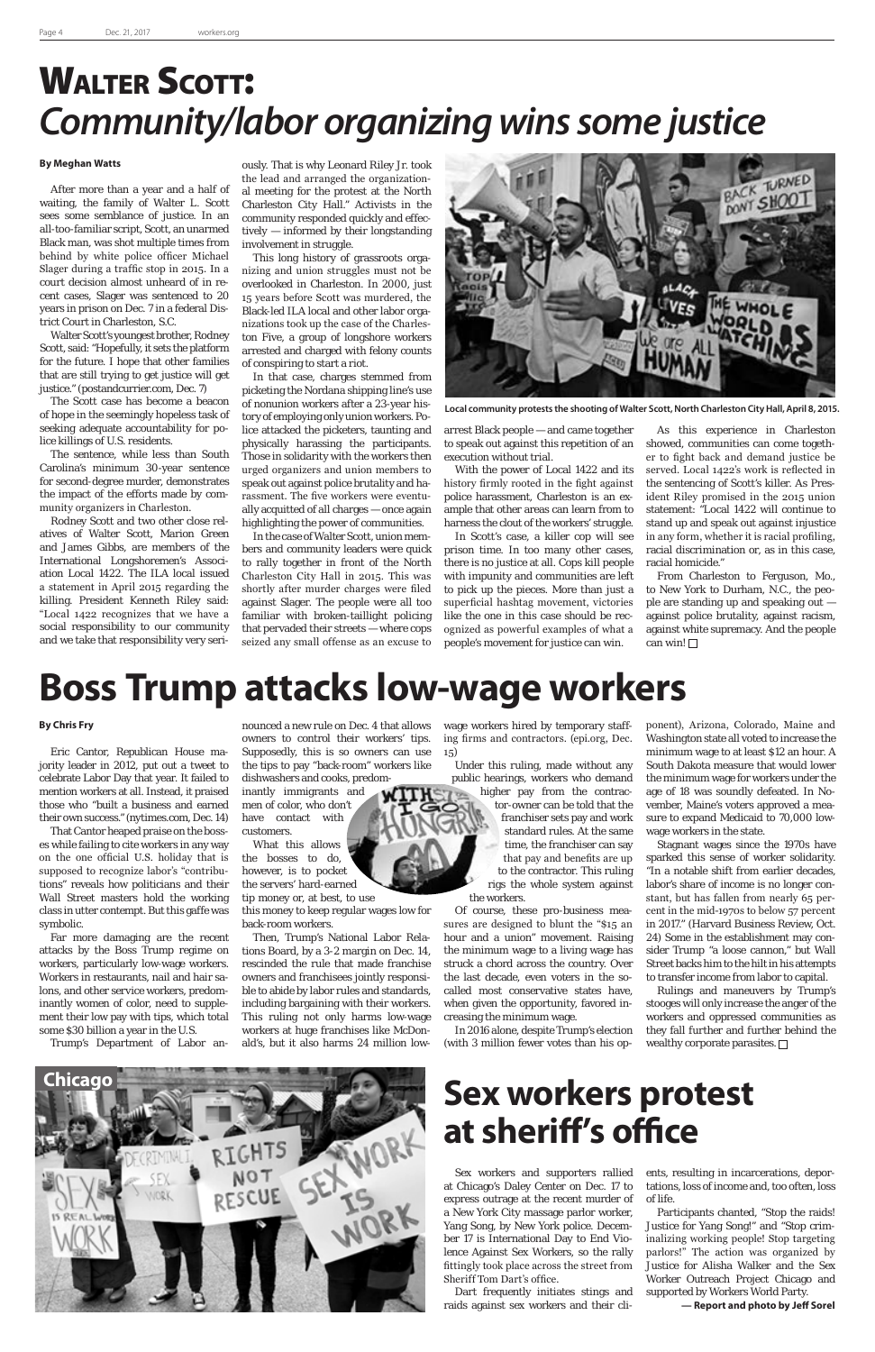## WALTER SCOTT: *Community/labor organizing wins some justice*



**Local community protests the shooting of Walter Scott, North Charleston City Hall, April 8, 2015.**

### **Boss Trump attacks low-wage workers**

### **Sex workers protest at sheriff's office**

Sex workers and supporters rallied at Chicago's Daley Center on Dec. 17 to express outrage at the recent murder of a New York City massage parlor worker, Yang Song, by New York police. December 17 is International Day to End Violence Against Sex Workers, so the rally fittingly took place across the street from Sheriff Tom Dart's office.

Dart frequently initiates stings and raids against sex workers and their cli-

#### **By Chris Fry**

Eric Cantor, Republican House majority leader in 2012, put out a tweet to celebrate Labor Day that year. It failed to mention workers at all. Instead, it praised those who "built a business and earned their own success." (nytimes.com, Dec. 14)

That Cantor heaped praise on the bosses while failing to cite workers in any way on the one official U.S. holiday that is supposed to recognize labor's "contributions" reveals how politicians and their Wall Street masters hold the working class in utter contempt. But this gaffe was symbolic.

Far more damaging are the recent attacks by the Boss Trump regime on workers, particularly low-wage workers. Workers in restaurants, nail and hair salons, and other service workers, predominantly women of color, need to supplement their low pay with tips, which total some \$30 billion a year in the U.S.

Trump's Department of Labor an-

#### **By Meghan Watts**

After more than a year and a half of waiting, the family of Walter L. Scott sees some semblance of justice. In an all-too-familiar script, Scott, an unarmed Black man, was shot multiple times from behind by white police officer Michael Slager during a traffic stop in 2015. In a court decision almost unheard of in recent cases, Slager was sentenced to 20 years in prison on Dec. 7 in a federal District Court in Charleston, S.C.

Walter Scott's youngest brother, Rodney Scott, said: "Hopefully, it sets the platform for the future. I hope that other families that are still trying to get justice will get justice." (postandcurrier.com, Dec. 7)

The Scott case has become a beacon of hope in the seemingly hopeless task of seeking adequate accountability for police killings of U.S. residents.

The sentence, while less than South Carolina's minimum 30-year sentence for second-degree murder, demonstrates the impact of the efforts made by community organizers in Charleston.

> From Charleston to Ferguson, Mo., to New York to Durham, N.C., the people are standing up and speaking out against police brutality, against racism, against white supremacy. And the people can win! $\square$

Rodney Scott and two other close relatives of Walter Scott, Marion Green and James Gibbs, are members of the International Longshoremen's Association Local 1422. The ILA local issued a statement in April 2015 regarding the killing. President Kenneth Riley said: "Local 1422 recognizes that we have a social responsibility to our community and we take that responsibility very seri-

ously. That is why Leonard Riley Jr. took the lead and arranged the organizational meeting for the protest at the North Charleston City Hall." Activists in the community responded quickly and effectively — informed by their longstanding involvement in struggle.

This long history of grassroots organizing and union struggles must not be overlooked in Charleston. In 2000, just 15 years before Scott was murdered, the Black-led ILA local and other labor organizations took up the case of the Charleston Five, a group of longshore workers arrested and charged with felony counts of conspiring to start a riot.

In that case, charges stemmed from picketing the Nordana shipping line's use of nonunion workers after a 23-year history of employing only union workers. Police attacked the picketers, taunting and physically harassing the participants. Those in solidarity with the workers then urged organizers and union members to speak out against police brutality and harassment. The five workers were eventually acquitted of all charges — once again highlighting the power of communities.

> stooges will only increase the anger of the workers and oppressed communities as they fall further and further behind the wealthy corporate parasites.  $\Box$

In the case of Walter Scott, union members and community leaders were quick to rally together in front of the North Charleston City Hall in 2015. This was shortly after murder charges were filed against Slager. The people were all too familiar with broken-taillight policing that pervaded their streets — where cops seized any small offense as an excuse to

arrest Black people — and came together to speak out against this repetition of an execution without trial.

With the power of Local 1422 and its history firmly rooted in the fight against police harassment, Charleston is an example that other areas can learn from to harness the clout of the workers' struggle.

In Scott's case, a killer cop will see prison time. In too many other cases, there is no justice at all. Cops kill people with impunity and communities are left to pick up the pieces. More than just a superficial hashtag movement, victories like the one in this case should be recognized as powerful examples of what a people's movement for justice can win.

As this experience in Charleston showed, communities can come together to fight back and demand justice be served. Local 1422's work is reflected in the sentencing of Scott's killer. As President Riley promised in the 2015 union statement: "Local 1422 will continue to stand up and speak out against injustice in any form, whether it is racial profiling, racial discrimination or, as in this case, racial homicide."

nounced a new rule on Dec. 4 that allows owners to control their workers' tips. Supposedly, this is so owners can use the tips to pay "back-room" workers like dishwashers and cooks, predom-

inantly immigrants and men of color, who don't have contact with customers.

What this allows the bosses to do, however, is to pocket the servers' hard-earned tip money or, at best, to use this money to keep regular wages low for back-room workers.

Then, Trump's National Labor Relations Board, by a 3-2 margin on Dec. 14, rescinded the rule that made franchise owners and franchisees jointly responsible to abide by labor rules and standards, including bargaining with their workers. This ruling not only harms low-wage workers at huge franchises like McDonald's, but it also harms 24 million lowwage workers hired by temporary staffing firms and contractors. (epi.org, Dec. 15)

Under this ruling, made without any public hearings, workers who demand higher pay from the contractor-owner can be told that the franchiser sets pay and work standard rules. At the same time, the franchiser can say that pay and benefits are up to the contractor. This ruling rigs the whole system against the workers.

Of course, these pro-business measures are designed to blunt the "\$15 an hour and a union" movement. Raising the minimum wage to a living wage has struck a chord across the country. Over the last decade, even voters in the socalled most conservative states have, when given the opportunity, favored increasing the minimum wage.

In 2016 alone, despite Trump's election (with 3 million fewer votes than his opponent), Arizona, Colorado, Maine and Washington state all voted to increase the minimum wage to at least \$12 an hour. A South Dakota measure that would lower the minimum wage for workers under the age of 18 was soundly defeated. In November, Maine's voters approved a measure to expand Medicaid to 70,000 lowwage workers in the state.

Stagnant wages since the 1970s have sparked this sense of worker solidarity. "In a notable shift from earlier decades, labor's share of income is no longer constant, but has fallen from nearly 65 percent in the mid-1970s to below 57 percent in 2017." (Harvard Business Review, Oct. 24) Some in the establishment may consider Trump "a loose cannon," but Wall Street backs him to the hilt in his attempts to transfer income from labor to capital.

Rulings and maneuvers by Trump's

ents, resulting in incarcerations, deportations, loss of income and, too often, loss of life.

Participants chanted, "Stop the raids! Justice for Yang Song!" and "Stop criminalizing working people! Stop targeting parlors!" The action was organized by Justice for Alisha Walker and the Sex Worker Outreach Project Chicago and supported by Workers World Party.

**— Report and photo by Jeff Sorel**

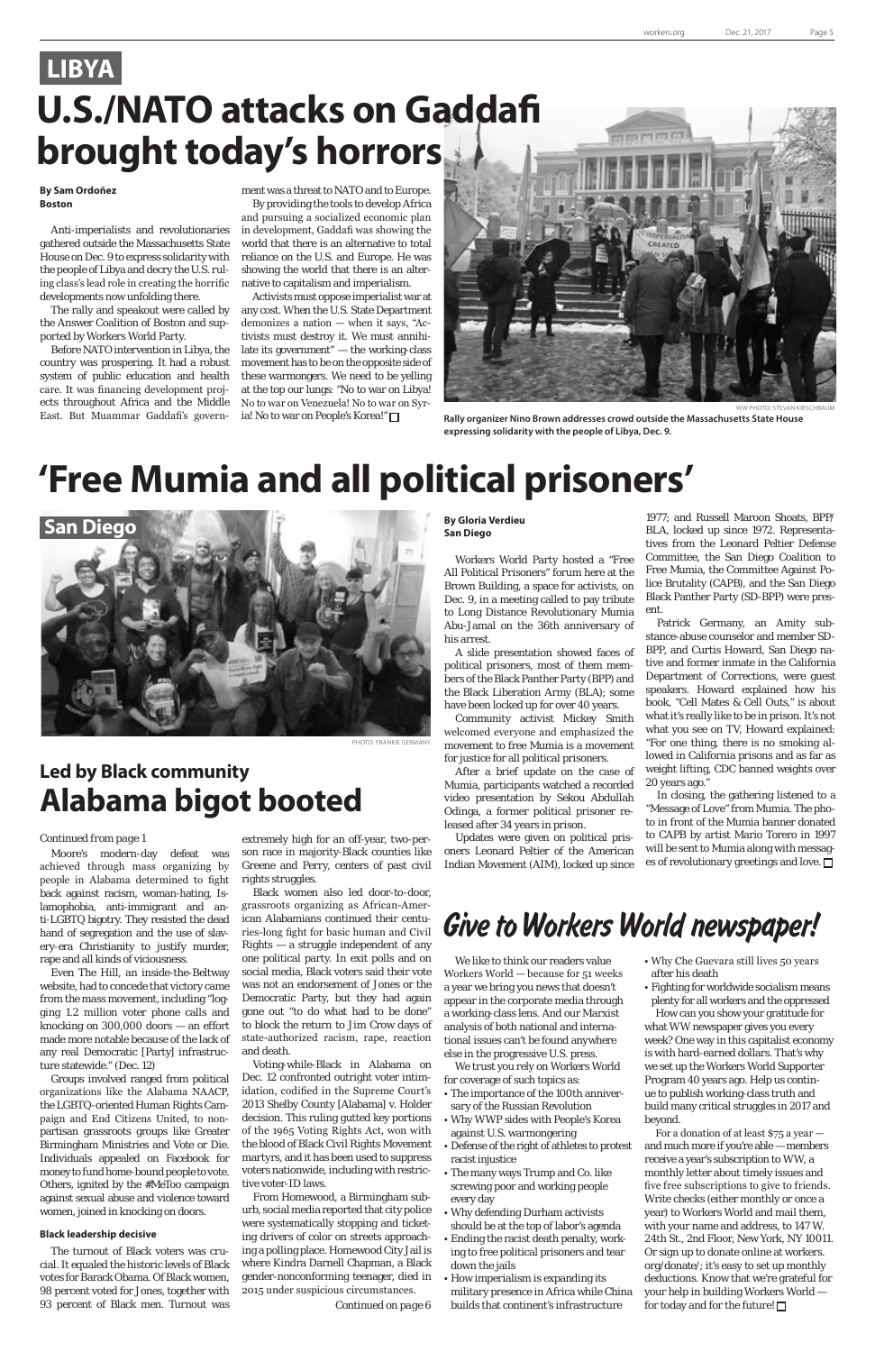

WW PHOTO: STEVAN KIRSCHBAUM **Rally organizer Nino Brown addresses crowd outside the Massachusetts State House expressing solidarity with the people of Libya, Dec. 9.**

### **LIBYA U.S./NATO attacks on Gaddafi brought today's horrors**

## **'Free Mumia and all political prisoners'**

### **Led by Black community Alabama bigot booted**

Moore's modern-day defeat was achieved through mass organizing by people in Alabama determined to fight back against racism, woman-hating, Islamophobia, anti-immigrant and anti-LGBTQ bigotry. They resisted the dead hand of segregation and the use of slavery-era Christianity to justify murder, rape and all kinds of viciousness.

Even The Hill, an inside-the-Beltway website, had to concede that victory came from the mass movement, including "logging 1.2 million voter phone calls and knocking on 300,000 doors — an effort made more notable because of the lack of any real Democratic [Party] infrastructure statewide." (Dec. 12) Groups involved ranged from political organizations like the Alabama NAACP, the LGBTQ-oriented Human Rights Campaign and End Citizens United, to nonpartisan grassroots groups like Greater Birmingham Ministries and Vote or Die. Individuals appealed on Facebook for money to fund home-bound people to vote. Others, ignited by the #MeToo campaign against sexual abuse and violence toward women, joined in knocking on doors.

#### **Black leadership decisive**

The turnout of Black voters was crucial. It equaled the historic levels of Black votes for Barack Obama. Of Black women, 98 percent voted for Jones, together with 93 percent of Black men. Turnout was

extremely high for an off-year, two-person race in majority-Black counties like Greene and Perry, centers of past civil rights struggles.

Black women also led door-to-door, grassroots organizing as African-American Alabamians continued their centuries-long fight for basic human and Civil Rights — a struggle independent of any one political party. In exit polls and on social media, Black voters said their vote was not an endorsement of Jones or the Democratic Party, but they had again gone out "to do what had to be done" to block the return to Jim Crow days of state-authorized racism, rape, reaction and death. Voting-while-Black in Alabama on Dec. 12 confronted outright voter intimidation, codified in the Supreme Court's 2013 Shelby County [Alabama] v. Holder decision. This ruling gutted key portions of the 1965 Voting Rights Act, won with the blood of Black Civil Rights Movement martyrs, and it has been used to suppress voters nationwide, including with restrictive voter-ID laws. From Homewood, a Birmingham suburb, social media reported that city police were systematically stopping and ticketing drivers of color on streets approaching a polling place. Homewood City Jail is where Kindra Darnell Chapman, a Black gender-nonconforming teenager, died in 2015 under suspicious circumstances.

#### **By Sam Ordoñez Boston**

Anti-imperialists and revolutionaries gathered outside the Massachusetts State House on Dec. 9 to express solidarity with the people of Libya and decry the U.S. ruling class's lead role in creating the horrific developments now unfolding there.

The rally and speakout were called by the Answer Coalition of Boston and supported by Workers World Party.

Before NATO intervention in Libya, the country was prospering. It had a robust system of public education and health care. It was financing development projects throughout Africa and the Middle East. But Muammar Gaddafi's govern-

ment was a threat to NATO and to Europe.

By providing the tools to develop Africa and pursuing a socialized economic plan in development, Gaddafi was showing the world that there is an alternative to total reliance on the U.S. and Europe. He was showing the world that there is an alternative to capitalism and imperialism.

Activists must oppose imperialist war at any cost. When the U.S. State Department demonizes a nation — when it says, "Activists must destroy it. We must annihilate its government" — the working-class movement has to be on the opposite side of these warmongers. We need to be yelling at the top our lungs: "No to war on Libya! No to war on Venezuela! No to war on Syria! No to war on People's Korea!"



PHOTO: FRANKIE GERMANY

#### **By Gloria Verdieu San Diego**

Workers World Party hosted a "Free All Political Prisoners" forum here at the Brown Building, a space for activists, on Dec. 9, in a meeting called to pay tribute to Long Distance Revolutionary Mumia Abu-Jamal on the 36th anniversary of his arrest.

A slide presentation showed faces of political prisoners, most of them members of the Black Panther Party (BPP) and the Black Liberation Army (BLA); some have been locked up for over 40 years.

Community activist Mickey Smith welcomed everyone and emphasized the movement to free Mumia is a movement for justice for all political prisoners.

After a brief update on the case of Mumia, participants watched a recorded video presentation by Sekou Abdullah Odinga, a former political prisoner released after 34 years in prison.

Updates were given on political prisoners Leonard Peltier of the American Indian Movement (AIM), locked up since 1977; and Russell Maroon Shoats, BPP/

#### BLA, locked up since 1972. Representatives from the Leonard Peltier Defense Committee, the San Diego Coalition to Free Mumia, the Committee Against Police Brutality (CAPB), and the San Diego Black Panther Party (SD-BPP) were present. Patrick Germany, an Amity sub-

stance-abuse counselor and member SD-BPP, and Curtis Howard, San Diego native and former inmate in the California Department of Corrections, were guest speakers. Howard explained how his book, "Cell Mates & Cell Outs," is about what it's really like to be in prison. It's not what you see on TV, Howard explained: "For one thing, there is no smoking allowed in California prisons and as far as weight lifting, CDC banned weights over 20 years ago."

In closing, the gathering listened to a "Message of Love" from Mumia. The photo in front of the Mumia banner donated to CAPB by artist Mario Torero in 1997 will be sent to Mumia along with messages of revolutionary greetings and love.

#### *Continued from page 1*

We like to think our readers value Workers World — because for 51 weeks a year we bring you news that doesn't

appear in the corporate media through a working-class lens. And our Marxist analysis of both national and international issues can't be found anywhere else in the progressive U.S. press.

We trust you rely on Workers World for coverage of such topics as:

- The importance of the 100th anniversary of the Russian Revolution
- Why WWP sides with People's Korea against U.S. warmongering
- Defense of the right of athletes to protest racist injustice
- The many ways Trump and Co. like screwing poor and working people every day
- Why defending Durham activists should be at the top of labor's agenda • Ending the racist death penalty, work-
- ing to free political prisoners and tear down the jails
- How imperialism is expanding its military presence in Africa while China builds that continent's infrastructure
- Why Che Guevara still lives 50 years after his death
- Fighting for worldwide socialism means

plenty for all workers and the oppressed How can you show your gratitude for what WW newspaper gives you every week? One way in this capitalist economy is with hard-earned dollars. That's why we set up the Workers World Supporter Program 40 years ago. Help us continue to publish working-class truth and build many critical struggles in 2017 and beyond.

For a donation of at least  $\frac{1}{2}$  a year  $$ and much more if you're able — members receive a year's subscription to WW, a monthly letter about timely issues and five free subscriptions to give to friends. Write checks (either monthly or once a year) to Workers World and mail them, with your name and address, to 147 W. 24th St., 2nd Floor, New York, NY 10011. Or sign up to donate online at workers. org/donate/; it's easy to set up monthly deductions. Know that we're grateful for your help in building Workers World for today and for the future!  $\Box$ 

### Give to Workers World newspaper!

*Continued on page 6*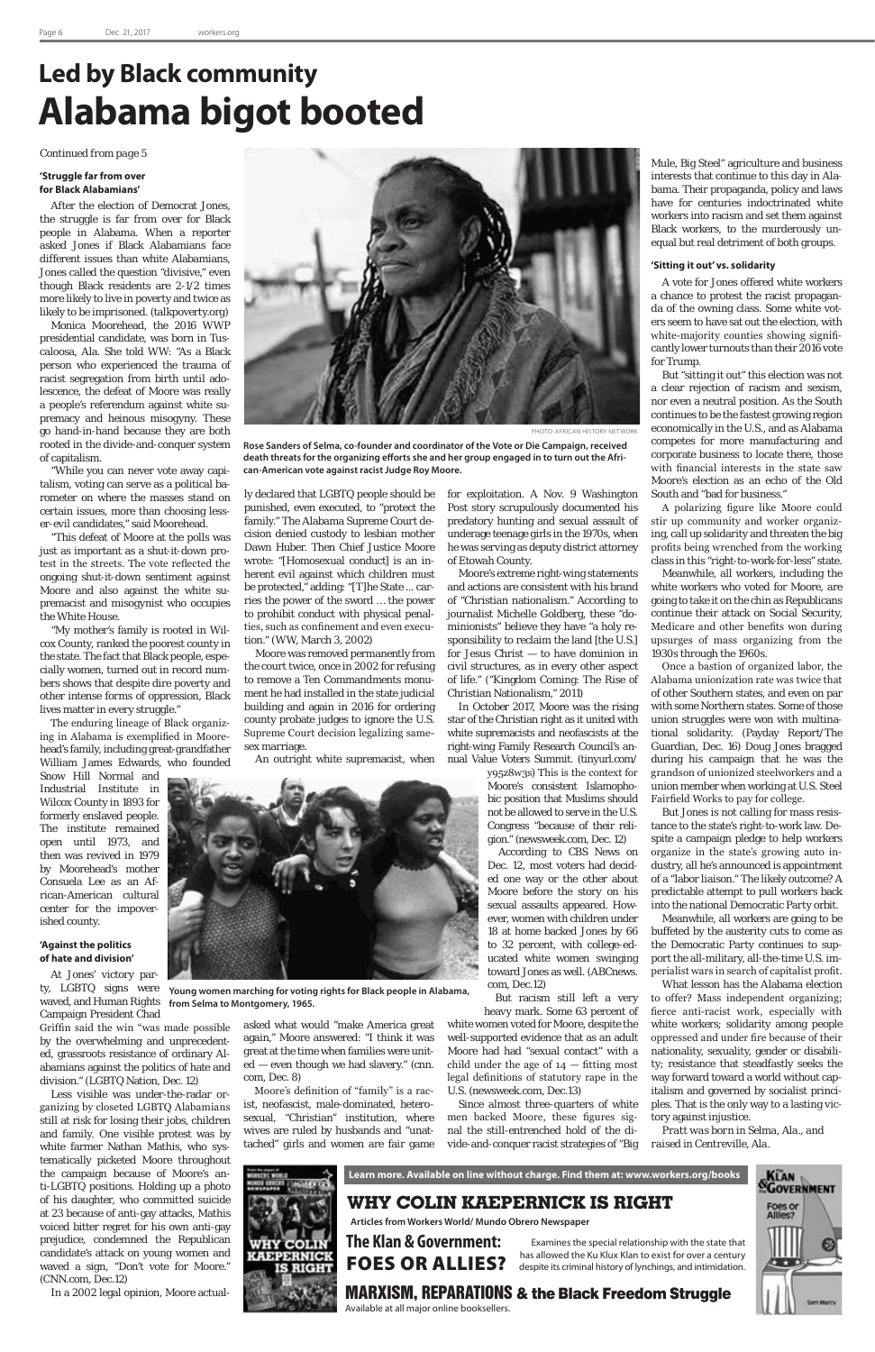#### **'Struggle far from over for Black Alabamians'**

After the election of Democrat Jones, the struggle is far from over for Black people in Alabama. When a reporter asked Jones if Black Alabamians face different issues than white Alabamians, Jones called the question "divisive," even though Black residents are 2-1/2 times more likely to live in poverty and twice as likely to be imprisoned. (talkpoverty.org)

Monica Moorehead, the 2016 WWP presidential candidate, was born in Tuscaloosa, Ala. She told WW: "As a Black person who experienced the trauma of racist segregation from birth until adolescence, the defeat of Moore was really a people's referendum against white supremacy and heinous misogyny. These go hand-in-hand because they are both rooted in the divide-and-conquer system of capitalism.

"While you can never vote away capitalism, voting can serve as a political barometer on where the masses stand on certain issues, more than choosing lesser-evil candidates," said Moorehead.

"This defeat of Moore at the polls was just as important as a shut-it-down protest in the streets. The vote reflected the ongoing shut-it-down sentiment against Moore and also against the white supremacist and misogynist who occupies the White House.

"My mother's family is rooted in Wilcox County, ranked the poorest county in the state. The fact that Black people, especially women, turned out in record numbers shows that despite dire poverty and other intense forms of oppression, Black lives matter in every struggle."

The enduring lineage of Black organizing in Alabama is exemplified in Moorehead's family, including great-grandfather William James Edwards, who founded

Snow Hill Normal and Industrial Institute in Wilcox County in 1893 for formerly enslaved people. The institute remained open until 1973, and then was revived in 1979 by Moorehead's mother Consuela Lee as an African-American cultural center for the impoverished county.

#### **'Against the politics of hate and division'**

At Jones' victory party, LGBTQ signs were

waved, and Human Rights Campaign President Chad

Griffin said the win "was made possible by the overwhelming and unprecedented, grassroots resistance of ordinary Alabamians against the politics of hate and division." (LGBTQ Nation, Dec. 12)

Less visible was under-the-radar organizing by closeted LGBTQ Alabamians still at risk for losing their jobs, children and family. One visible protest was by white farmer Nathan Mathis, who systematically picketed Moore throughout the campaign because of Moore's anti-LGBTQ positions. Holding up a photo of his daughter, who committed suicide at 23 because of anti-gay attacks, Mathis voiced bitter regret for his own anti-gay prejudice, condemned the Republican candidate's attack on young women and waved a sign, "Don't vote for Moore." (CNN.com, Dec.12)

In a 2002 legal opinion, Moore actual-

ly declared that LGBTQ people should be punished, even executed, to "protect the family." The Alabama Supreme Court decision denied custody to lesbian mother Dawn Huber. Then Chief Justice Moore wrote: "[Homosexual conduct] is an inherent evil against which children must be protected," adding: "[T]he State ... carries the power of the sword … the power to prohibit conduct with physical penalties, such as confinement and even execution." (WW, March 3, 2002)

Moore was removed permanently from the court twice, once in 2002 for refusing to remove a Ten Commandments monument he had installed in the state judicial building and again in 2016 for ordering county probate judges to ignore the U.S. Supreme Court decision legalizing samesex marriage.

An outright white supremacist, when

for exploitation. A Nov. 9 Washington Post story scrupulously documented his predatory hunting and sexual assault of underage teenage girls in the 1970s, when he was serving as deputy district attorney of Etowah County.

Moore's extreme right-wing statements and actions are consistent with his brand of "Christian nationalism." According to journalist Michelle Goldberg, these "dominionists" believe they have "a holy responsibility to reclaim the land [the U.S.] for Jesus Christ — to have dominion in civil structures, as in every other aspect of life." ("Kingdom Coming: The Rise of Christian Nationalism," 2011)

In October 2017, Moore was the rising star of the Christian right as it united with white supremacists and neofascists at the right-wing Family Research Council's annual Value Voters Summit. (tinyurl.com/

> y95z8w3s) This is the context for Moore's consistent Islamophobic position that Muslims should not be allowed to serve in the U.S. Congress "because of their religion." (newsweek.com, Dec. 12)

> According to CBS News on Dec. 12, most voters had decided one way or the other about Moore before the story on his sexual assaults appeared. However, women with children under 18 at home backed Jones by 66 to 32 percent, with college-educated white women swinging toward Jones as well. (ABCnews. com, Dec.12)

But racism still left a very heavy mark. Some 63 percent of white women voted for Moore, despite the well-supported evidence that as an adult Moore had had "sexual contact" with a child under the age of  $14$  – fitting most legal definitions of statutory rape in the U.S. (newsweek.com, Dec.13) Since almost three-quarters of white men backed Moore, these figures signal the still-entrenched hold of the divide-and-conquer racist strategies of "Big

Mule, Big Steel" agriculture and business interests that continue to this day in Alabama. Their propaganda, policy and laws have for centuries indoctrinated white workers into racism and set them against Black workers, to the murderously unequal but real detriment of both groups.

#### **'Sitting it out' vs. solidarity**

A vote for Jones offered white workers a chance to protest the racist propaganda of the owning class. Some white voters seem to have sat out the election, with white-majority counties showing significantly lower turnouts than their 2016 vote for Trump.

But "sitting it out" this election was not a clear rejection of racism and sexism, nor even a neutral position. As the South continues to be the fastest growing region economically in the U.S., and as Alabama competes for more manufacturing and corporate business to locate there, those with financial interests in the state saw Moore's election as an echo of the Old South and "bad for business."

A polarizing figure like Moore could stir up community and worker organizing, call up solidarity and threaten the big profits being wrenched from the working class in this "right-to-work-for-less" state.

Meanwhile, all workers, including the white workers who voted for Moore, are going to take it on the chin as Republicans continue their attack on Social Security, Medicare and other benefits won during upsurges of mass organizing from the 1930s through the 1960s.

Once a bastion of organized labor, the Alabama unionization rate was twice that of other Southern states, and even on par with some Northern states. Some of those union struggles were won with multinational solidarity. (Payday Report/The Guardian, Dec. 16) Doug Jones bragged during his campaign that he was the grandson of unionized steelworkers and a union member when working at U.S. Steel Fairfield Works to pay for college.

But Jones is not calling for mass resistance to the state's right-to-work law. Despite a campaign pledge to help workers organize in the state's growing auto industry, all he's announced is appointment of a "labor liaison." The likely outcome? A predictable attempt to pull workers back into the national Democratic Party orbit.

Meanwhile, all workers are going to be buffeted by the austerity cuts to come as the Democratic Party continues to support the all-military, all-the-time U.S. imperialist wars in search of capitalist profit.

What lesson has the Alabama election



to offer? Mass independent organizing; fierce anti-racist work, especially with white workers; solidarity among people oppressed and under fire because of their nationality, sexuality, gender or disability; resistance that steadfastly seeks the way forward toward a world without capitalism and governed by socialist principles. That is the only way to a lasting victory against injustice.

*Pratt was born in Selma, Ala., and raised in Centreville, Ala.*

## **Led by Black community Alabama bigot booted**

*Continued from page 5*

**Rose Sanders of Selma, co-founder and coordinator of the Vote or Die Campaign, received death threats for the organizing efforts she and her group engaged in to turn out the African-American vote against racist Judge Roy Moore.**



PHOTO: AFRICAN HISTORY NETWORK

asked what would "make America great again," Moore answered: "I think it was great at the time when families were united — even though we had slavery." (cnn. com, Dec. 8)

Moore's definition of "family" is a racist, neofascist, male-dominated, heterosexual, "Christian" institution, where wives are ruled by husbands and "unattached" girls and women are fair game

**Young women marching for voting rights for Black people in Alabama,** 

**from Selma to Montgomery, 1965.**



MARXISM, REPARATIONS & the Black Freedom Struggle

Available at all major online booksellers.

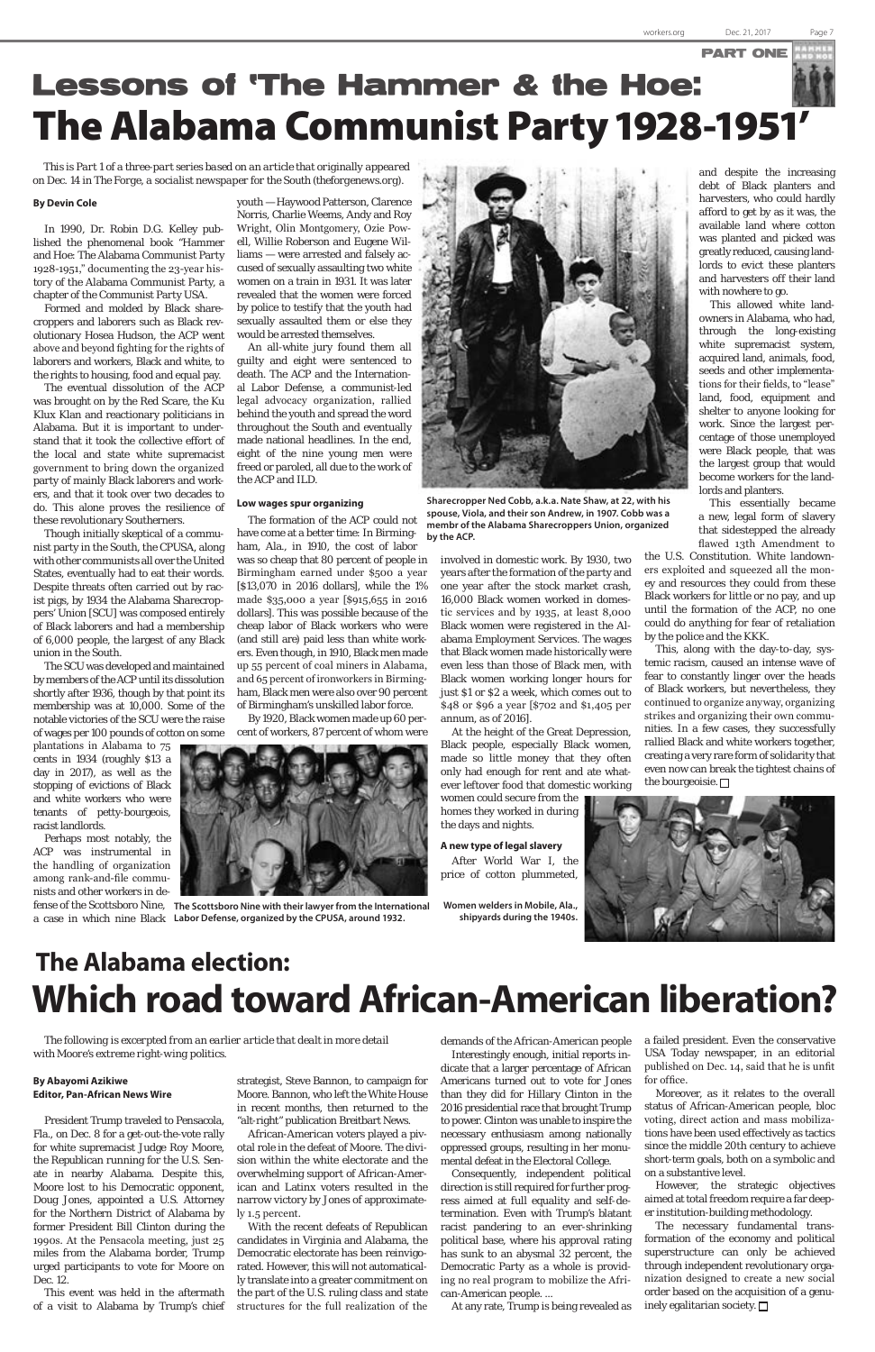## Lessons of 'The Hammer & the Hoe: The Alabama Communist Party 1928-1951'



**Sharecropper Ned Cobb, a.k.a. Nate Shaw, at 22, with his spouse, Viola, and their son Andrew, in 1907. Cobb was a membr of the Alabama Sharecroppers Union, organized by the ACP.**

*This is Part 1 of a three-part series based on an article that originally appeared on Dec. 14 in The Forge, a socialist newspaper for the South (theforgenews.org*).

> youth — Haywood Patterson, Clarence Norris, Charlie Weems, Andy and Roy Wright, Olin Montgomery, Ozie Powell, Willie Roberson and Eugene Williams — were arrested and falsely accused of sexually assaulting two white women on a train in 1931. It was later revealed that the women were forced by police to testify that the youth had sexually assaulted them or else they would be arrested themselves.

> An all-white jury found them all guilty and eight were sentenced to death. The ACP and the International Labor Defense, a communist-led legal advocacy organization, rallied behind the youth and spread the word throughout the South and eventually made national headlines. In the end, eight of the nine young men were freed or paroled, all due to the work of the ACP and ILD.

#### **Low wages spur organizing**

The formation of the ACP could not have come at a better time: In Birmingham, Ala., in 1910, the cost of labor was so cheap that 80 percent of people in Birmingham earned under \$500 a year [\$13,070 in 2016 dollars], while the 1% made \$35,000 a year [\$915,655 in 2016 dollars]. This was possible because of the cheap labor of Black workers who were (and still are) paid less than white workers. Even though, in 1910, Black men made up 55 percent of coal miners in Alabama, and 65 percent of ironworkers in Birmingham, Black men were also over 90 percent of Birmingham's unskilled labor force.

By 1920, Black women made up 60 percent of workers, 87 percent of whom were

#### **By Devin Cole**

In 1990, Dr. Robin D.G. Kelley published the phenomenal book "Hammer and Hoe: The Alabama Communist Party 1928-1951," documenting the 23-year history of the Alabama Communist Party, a chapter of the Communist Party USA.

Formed and molded by Black sharecroppers and laborers such as Black revolutionary Hosea Hudson, the ACP went above and beyond fighting for the rights of laborers and workers, Black and white, to the rights to housing, food and equal pay.

The eventual dissolution of the ACP was brought on by the Red Scare, the Ku Klux Klan and reactionary politicians in Alabama. But it is important to understand that it took the collective effort of the local and state white supremacist government to bring down the organized party of mainly Black laborers and workers, and that it took over two decades to do. This alone proves the resilience of these revolutionary Southerners.

> This, along with the day-to-day, systemic racism, caused an intense wave of fear to constantly linger over the heads of Black workers, but nevertheless, they continued to organize anyway, organizing strikes and organizing their own communities. In a few cases, they successfully rallied Black and white workers together, creating a very rare form of solidarity that even now can break the tightest chains of the bourgeoisie.  $\Box$



Though initially skeptical of a communist party in the South, the CPUSA, along with other communists all over the United States, eventually had to eat their words. Despite threats often carried out by racist pigs, by 1934 the Alabama Sharecroppers' Union [SCU] was composed entirely of Black laborers and had a membership of 6,000 people, the largest of any Black union in the South.

The SCU was developed and maintained by members of the ACP until its dissolution shortly after 1936, though by that point its membership was at 10,000. Some of the notable victories of the SCU were the raise of wages per 100 pounds of cotton on some

plantations in Alabama to 75 cents in 1934 (roughly \$13 a day in 2017), as well as the stopping of evictions of Black and white workers who were tenants of petty-bourgeois, racist landlords.

Perhaps most notably, the ACP was instrumental in the handling of organization among rank-and-file communists and other workers in deinvolved in domestic work. By 1930, two years after the formation of the party and one year after the stock market crash, 16,000 Black women worked in domestic services and by 1935, at least 8,000 Black women were registered in the Alabama Employment Services. The wages that Black women made historically were even less than those of Black men, with Black women working longer hours for just \$1 or \$2 a week, which comes out to \$48 or \$96 a year [\$702 and \$1,405 per annum, as of 2016].

At the height of the Great Depression, Black people, especially Black women, made so little money that they often only had enough for rent and ate whatever leftover food that domestic working

> The necessary fundamental transformation of the economy and political superstructure can only be achieved through independent revolutionary organization designed to create a new social order based on the acquisition of a genuinely egalitarian society.  $\square$

women could secure from the homes they worked in during the days and nights.

#### **A new type of legal slavery**

After World War I, the price of cotton plummeted,



fense of the Scottsboro Nine, The Scottsboro Nine with their lawyer from the International a case in which nine Black **Labor Defense, organized by the CPUSA, around 1932.**

and despite the increasing debt of Black planters and harvesters, who could hardly afford to get by as it was, the available land where cotton was planted and picked was greatly reduced, causing landlords to evict these planters and harvesters off their land with nowhere to go.

This allowed white landowners in Alabama, who had, through the long-existing white supremacist system, acquired land, animals, food, seeds and other implementations for their fields, to "lease" land, food, equipment and shelter to anyone looking for work. Since the largest percentage of those unemployed were Black people, that was the largest group that would become workers for the landlords and planters.

This essentially became a new, legal form of slavery that sidestepped the already flawed 13th Amendment to

the U.S. Constitution. White landowners exploited and squeezed all the money and resources they could from these Black workers for little or no pay, and up until the formation of the ACP, no one could do anything for fear of retaliation by the police and the KKK.

### **The Alabama election: Which road toward African-American liberation?**

#### **By Abayomi Azikiwe Editor, Pan-African News Wire**

President Trump traveled to Pensacola, Fla., on Dec. 8 for a get-out-the-vote rally for white supremacist Judge Roy Moore, the Republican running for the U.S. Senate in nearby Alabama. Despite this, Moore lost to his Democratic opponent, Doug Jones, appointed a U.S. Attorney for the Northern District of Alabama by former President Bill Clinton during the 1990s. At the Pensacola meeting, just 25 miles from the Alabama border, Trump urged participants to vote for Moore on Dec. 12.

This event was held in the aftermath of a visit to Alabama by Trump's chief

*The following is excerpted from an earlier article that dealt in more detail with Moore's extreme right-wing politics.*

> strategist, Steve Bannon, to campaign for Moore. Bannon, who left the White House in recent months, then returned to the "alt-right" publication Breitbart News.

> African-American voters played a pivotal role in the defeat of Moore. The division within the white electorate and the overwhelming support of African-American and Latinx voters resulted in the narrow victory by Jones of approximately 1.5 percent.

> With the recent defeats of Republican candidates in Virginia and Alabama, the Democratic electorate has been reinvigorated. However, this will not automatically translate into a greater commitment on

> the part of the U.S. ruling class and state structures for the full realization of the

demands of the African-American people Interestingly enough, initial reports indicate that a larger percentage of African Americans turned out to vote for Jones than they did for Hillary Clinton in the 2016 presidential race that brought Trump to power. Clinton was unable to inspire the necessary enthusiasm among nationally oppressed groups, resulting in her monumental defeat in the Electoral College.

Consequently, independent political direction is still required for further progress aimed at full equality and self-determination. Even with Trump's blatant racist pandering to an ever-shrinking political base, where his approval rating has sunk to an abysmal 32 percent, the Democratic Party as a whole is providing no real program to mobilize the African-American people. ...

At any rate, Trump is being revealed as

a failed president. Even the conservative USA Today newspaper, in an editorial published on Dec. 14, said that he is unfit for office.

Moreover, as it relates to the overall status of African-American people, bloc voting, direct action and mass mobilizations have been used effectively as tactics since the middle 20th century to achieve short-term goals, both on a symbolic and on a substantive level.

However, the strategic objectives aimed at total freedom require a far deeper institution-building methodology.

**Women welders in Mobile, Ala., shipyards during the 1940s.**

PART ONE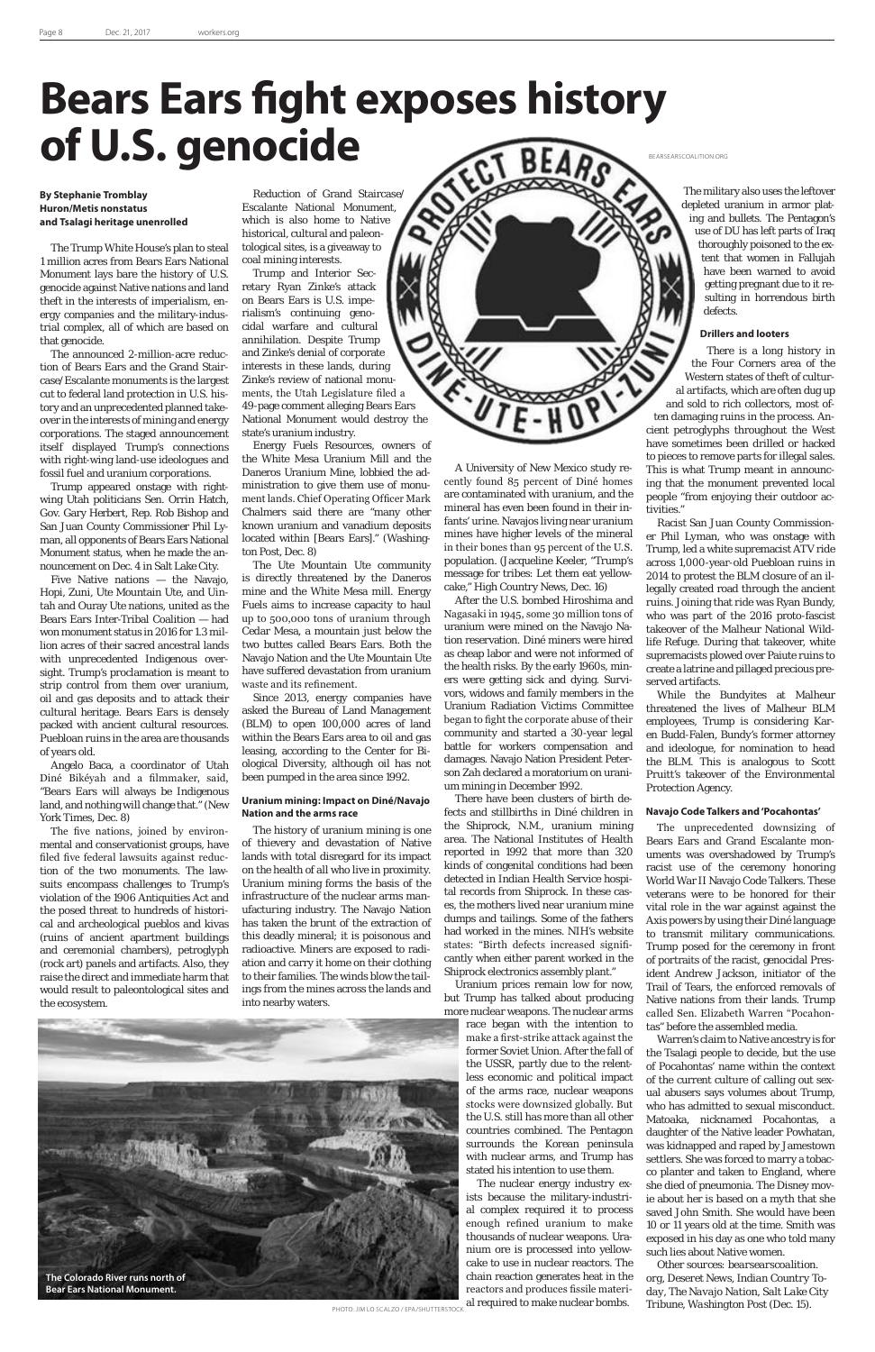## **Bears Ears fight exposes history of U.S. genocide**

#### **By Stephanie Tromblay Huron/Metis nonstatus and Tsalagi heritage unenrolled**

The Trump White House's plan to steal 1 million acres from Bears Ears National Monument lays bare the history of U.S. genocide against Native nations and land theft in the interests of imperialism, energy companies and the military-industrial complex, all of which are based on that genocide.

The announced 2-million-acre reduction of Bears Ears and the Grand Staircase/Escalante monuments is the largest cut to federal land protection in U.S. history and an unprecedented planned takeover in the interests of mining and energy corporations. The staged announcement itself displayed Trump's connections with right-wing land-use ideologues and fossil fuel and uranium corporations.

Trump appeared onstage with rightwing Utah politicians Sen. Orrin Hatch, Gov. Gary Herbert, Rep. Rob Bishop and San Juan County Commissioner Phil Lyman, all opponents of Bears Ears National Monument status, when he made the announcement on Dec. 4 in Salt Lake City.

Five Native nations — the Navajo, Hopi, Zuni, Ute Mountain Ute, and Uintah and Ouray Ute nations, united as the Bears Ears Inter-Tribal Coalition — had won monument status in 2016 for 1.3 million acres of their sacred ancestral lands with unprecedented Indigenous oversight. Trump's proclamation is meant to strip control from them over uranium, oil and gas deposits and to attack their cultural heritage. Bears Ears is densely packed with ancient cultural resources. Puebloan ruins in the area are thousands of years old.

Angelo Baca, a coordinator of Utah Diné Bikéyah and a filmmaker, said, "Bears Ears will always be Indigenous land, and nothing will change that." (New York Times, Dec. 8)

The five nations, joined by environmental and conservationist groups, have filed five federal lawsuits against reduction of the two monuments. The lawsuits encompass challenges to Trump's violation of the 1906 Antiquities Act and the posed threat to hundreds of historical and archeological pueblos and kivas (ruins of ancient apartment buildings and ceremonial chambers), petroglyph (rock art) panels and artifacts. Also, they raise the direct and immediate harm that would result to paleontological sites and

Reduction of Grand Staircase/ Escalante National Monument, which is also home to Native historical, cultural and paleontological sites, is a giveaway to coal mining interests.

Trump and Interior Secretary Ryan Zinke's attack on Bears Ears is U.S. imperialism's continuing genocidal warfare and cultural annihilation. Despite Trump and Zinke's denial of corporate interests in these lands, during Zinke's review of national monuments, the Utah Legislature filed a 49-page comment alleging Bears Ears National Monument would destroy the state's uranium industry.

Energy Fuels Resources, owners of the White Mesa Uranium Mill and the Daneros Uranium Mine, lobbied the administration to give them use of monument lands. Chief Operating Officer Mark Chalmers said there are "many other known uranium and vanadium deposits located within [Bears Ears]." (Washington Post, Dec. 8)

> The nuclear energy industry exists because the military-industrial complex required it to process enough refined uranium to make thousands of nuclear weapons. Uranium ore is processed into yellowcake to use in nuclear reactors. The chain reaction generates heat in the reactors and produces fissile material required to make nuclear bombs. **PHOTO: JIM LO SCALZO / EPA/SHUTTERSTOCK** al required to make nuclear bombs. Tribune, Washington Post (Dec. 15).

the ecosystem. into nearby waters.

The Ute Mountain Ute community is directly threatened by the Daneros mine and the White Mesa mill. Energy Fuels aims to increase capacity to haul up to 500,000 tons of uranium through Cedar Mesa, a mountain just below the two buttes called Bears Ears. Both the Navajo Nation and the Ute Mountain Ute have suffered devastation from uranium waste and its refinement.

Since 2013, energy companies have asked the Bureau of Land Management (BLM) to open 100,000 acres of land within the Bears Ears area to oil and gas leasing, according to the Center for Biological Diversity, although oil has not been pumped in the area since 1992.

#### **Uranium mining: Impact on Diné/Navajo Nation and the arms race**

The history of uranium mining is one of thievery and devastation of Native lands with total disregard for its impact on the health of all who live in proximity. Uranium mining forms the basis of the infrastructure of the nuclear arms manufacturing industry. The Navajo Nation has taken the brunt of the extraction of this deadly mineral; it is poisonous and radioactive. Miners are exposed to radiation and carry it home on their clothing to their families. The winds blow the tailings from the mines across the lands and

A University of New Mexico study recently found 85 percent of Diné homes are contaminated with uranium, and the mineral has even been found in their infants' urine. Navajos living near uranium mines have higher levels of the mineral in their bones than 95 percent of the U.S. population. (Jacqueline Keeler, "Trump's message for tribes: Let them eat yellowcake," High Country News, Dec. 16)

After the U.S. bombed Hiroshima and Nagasaki in 1945, some 30 million tons of uranium were mined on the Navajo Nation reservation. Diné miners were hired as cheap labor and were not informed of the health risks. By the early 1960s, miners were getting sick and dying. Survivors, widows and family members in the Uranium Radiation Victims Committee began to fight the corporate abuse of their community and started a 30-year legal battle for workers compensation and damages. Navajo Nation President Peterson Zah declared a moratorium on uranium mining in December 1992.

There have been clusters of birth defects and stillbirths in Diné children in the Shiprock, N.M., uranium mining area. The National Institutes of Health reported in 1992 that more than 320 kinds of congenital conditions had been detected in Indian Health Service hospital records from Shiprock. In these cases, the mothers lived near uranium mine dumps and tailings. Some of the fathers had worked in the mines. NIH's website states: "Birth defects increased significantly when either parent worked in the Shiprock electronics assembly plant."

Uranium prices remain low for now, but Trump has talked about producing more nuclear weapons. The nuclear arms

race began with the intention to make a first-strike attack against the former Soviet Union. After the fall of the USSR, partly due to the relentless economic and political impact of the arms race, nuclear weapons stocks were downsized globally. But the U.S. still has more than all other countries combined. The Pentagon surrounds the Korean peninsula with nuclear arms, and Trump has stated his intention to use them.

The military also uses the leftover depleted uranium in armor plating and bullets. The Pentagon's use of DU has left parts of Iraq thoroughly poisoned to the extent that women in Fallujah have been warned to avoid getting pregnant due to it resulting in horrendous birth defects.

#### **Drillers and looters**

There is a long history in the Four Corners area of the Western states of theft of cultural artifacts, which are often dug up and sold to rich collectors, most often damaging ruins in the process. Ancient petroglyphs throughout the West have sometimes been drilled or hacked to pieces to remove parts for illegal sales. This is what Trump meant in announcing that the monument prevented local people "from enjoying their outdoor activities."

Racist San Juan County Commissioner Phil Lyman, who was onstage with Trump, led a white supremacist ATV ride across 1,000-year-old Puebloan ruins in 2014 to protest the BLM closure of an illegally created road through the ancient ruins. Joining that ride was Ryan Bundy, who was part of the 2016 proto-fascist takeover of the Malheur National Wildlife Refuge. During that takeover, white supremacists plowed over Paiute ruins to create a latrine and pillaged precious preserved artifacts.

While the Bundyites at Malheur threatened the lives of Malheur BLM employees, Trump is considering Karen Budd-Falen, Bundy's former attorney and ideologue, for nomination to head the BLM. This is analogous to Scott Pruitt's takeover of the Environmental Protection Agency.

#### **Navajo Code Talkers and 'Pocahontas'**

The unprecedented downsizing of Bears Ears and Grand Escalante monuments was overshadowed by Trump's racist use of the ceremony honoring World War II Navajo Code Talkers. These veterans were to be honored for their vital role in the war against against the Axis powers by using their Diné language to transmit military communications. Trump posed for the ceremony in front of portraits of the racist, genocidal President Andrew Jackson, initiator of the Trail of Tears, the enforced removals of

Native nations from their lands. Trump called Sen. Elizabeth Warren "Pocahontas" before the assembled media.

Warren's claim to Native ancestry is for the Tsalagi people to decide, but the use of Pocahontas' name within the context of the current culture of calling out sexual abusers says volumes about Trump, who has admitted to sexual misconduct. Matoaka, nicknamed Pocahontas, a daughter of the Native leader Powhatan, was kidnapped and raped by Jamestown settlers. She was forced to marry a tobacco planter and taken to England, where she died of pneumonia. The Disney movie about her is based on a myth that she saved John Smith. She would have been 10 or 11 years old at the time. Smith was exposed in his day as one who told many such lies about Native women.

*Other sources: bearsearscoalition. org, Deseret News, Indian Country Today, The Navajo Nation, Salt Lake City* 



BEARSEARSCOALITION.ORG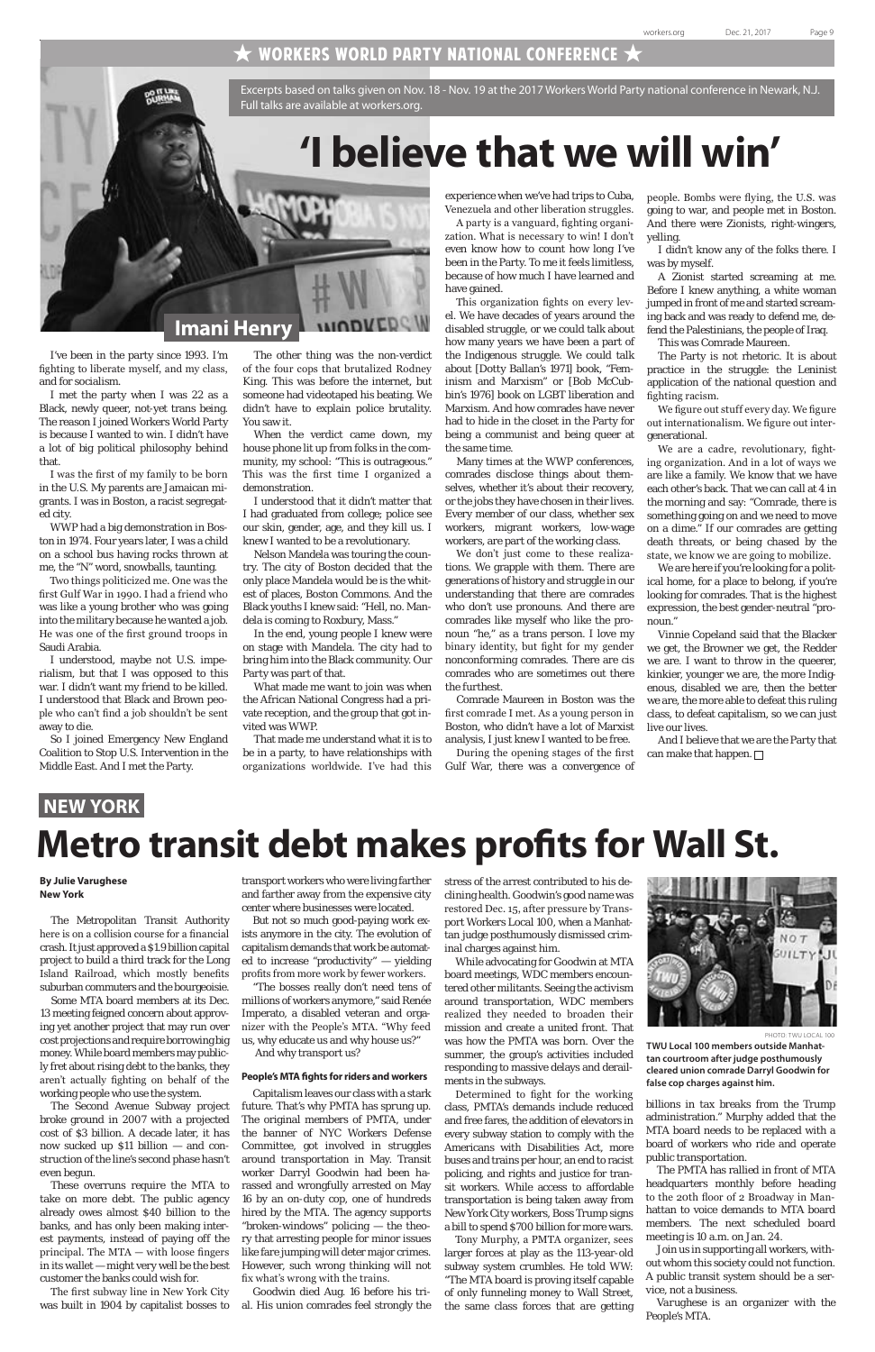### $\bigstar$  workers world party national conference  $\bigstar$

I've been in the party since 1993. I'm fighting to liberate myself, and my class, and for socialism.

I met the party when I was 22 as a Black, newly queer, not-yet trans being. The reason I joined Workers World Party is because I wanted to win. I didn't have a lot of big political philosophy behind that.

I was the first of my family to be born in the U.S. My parents are Jamaican migrants. I was in Boston, a racist segregated city.

WWP had a big demonstration in Boston in 1974. Four years later, I was a child on a school bus having rocks thrown at me, the "N" word, snowballs, taunting.

Two things politicized me. One was the first Gulf War in 1990. I had a friend who was like a young brother who was going into the military because he wanted a job. He was one of the first ground troops in Saudi Arabia.

I understood, maybe not U.S. imperialism, but that I was opposed to this war. I didn't want my friend to be killed. I understood that Black and Brown people who can't find a job shouldn't be sent away to die.

So I joined Emergency New England Coalition to Stop U.S. Intervention in the Middle East. And I met the Party.

Excerpts based on talks given on Nov. 18 - Nov. 19 at the 2017 Workers World Party national conference in Newark, N.J. Full talks are available at workers.org.

## **'I believe that we will win'**



The other thing was the non-verdict of the four cops that brutalized Rodney King. This was before the internet, but someone had videotaped his beating. We didn't have to explain police brutality. You saw it.

When the verdict came down, my house phone lit up from folks in the community, my school: "This is outrageous." This was the first time I organized a demonstration.

I understood that it didn't matter that I had graduated from college; police see our skin, gender, age, and they kill us. I knew I wanted to be a revolutionary.

Nelson Mandela was touring the country. The city of Boston decided that the only place Mandela would be is the whitest of places, Boston Commons. And the Black youths I knew said: "Hell, no. Mandela is coming to Roxbury, Mass."

In the end, young people I knew were on stage with Mandela. The city had to bring him into the Black community. Our Party was part of that.

What made me want to join was when the African National Congress had a private reception, and the group that got invited was WWP.

That made me understand what it is to be in a party, to have relationships with organizations worldwide. I've had this experience when we've had trips to Cuba, Venezuela and other liberation struggles.

A party is a vanguard, fighting organization. What is necessary to win! I don't even know how to count how long I've been in the Party. To me it feels limitless, because of how much I have learned and have gained.

> And I believe that we are the Party that can make that happen.  $\Box$

This organization fights on every level. We have decades of years around the disabled struggle, or we could talk about how many years we have been a part of the Indigenous struggle. We could talk about [Dotty Ballan's 1971] book, "Feminism and Marxism" or [Bob McCubbin's 1976] book on LGBT liberation and Marxism. And how comrades have never had to hide in the closet in the Party for being a communist and being queer at the same time.

Many times at the WWP conferences, comrades disclose things about themselves, whether it's about their recovery, or the jobs they have chosen in their lives. Every member of our class, whether sex workers, migrant workers, low-wage workers, are part of the working class.

We don't just come to these realizations. We grapple with them. There are generations of history and struggle in our understanding that there are comrades who don't use pronouns. And there are comrades like myself who like the pronoun "he," as a trans person. I love my binary identity, but fight for my gender nonconforming comrades. There are cis comrades who are sometimes out there the furthest.

Comrade Maureen in Boston was the first comrade I met. As a young person in Boston, who didn't have a lot of Marxist analysis, I just knew I wanted to be free.

During the opening stages of the first Gulf War, there was a convergence of people. Bombs were flying, the U.S. was going to war, and people met in Boston. And there were Zionists, right-wingers, yelling.

I didn't know any of the folks there. I was by myself.

A Zionist started screaming at me. Before I knew anything, a white woman jumped in front of me and started screaming back and was ready to defend me, defend the Palestinians, the people of Iraq. This was Comrade Maureen.

The Party is not rhetoric. It is about practice in the struggle: the Leninist application of the national question and fighting racism.

We figure out stuff every day. We figure out internationalism. We figure out intergenerational.

We are a cadre, revolutionary, fighting organization. And in a lot of ways we are like a family. We know that we have each other's back. That we can call at 4 in the morning and say: "Comrade, there is something going on and we need to move on a dime." If our comrades are getting death threats, or being chased by the state, we know we are going to mobilize.

We are here if you're looking for a political home, for a place to belong, if you're looking for comrades. That is the highest expression, the best gender-neutral "pronoun."

Vinnie Copeland said that the Blacker we get, the Browner we get, the Redder we are. I want to throw in the queerer, kinkier, younger we are, the more Indigenous, disabled we are, then the better we are, the more able to defeat this ruling class, to defeat capitalism, so we can just live our lives.

#### **By Julie Varughese New York**

The Metropolitan Transit Authority here is on a collision course for a financial crash. It just approved a \$1.9 billion capital project to build a third track for the Long Island Railroad, which mostly benefits suburban commuters and the bourgeoisie. Some MTA board members at its Dec. 13 meeting feigned concern about approving yet another project that may run over cost projections and require borrowing big money. While board members may publicly fret about rising debt to the banks, they aren't actually fighting on behalf of the working people who use the system. The Second Avenue Subway project broke ground in 2007 with a projected cost of \$3 billion. A decade later, it has now sucked up \$11 billion — and construction of the line's second phase hasn't even begun. These overruns require the MTA to take on more debt. The public agency already owes almost \$40 billion to the banks, and has only been making interest payments, instead of paying off the principal. The MTA — with loose fingers in its wallet — might very well be the best customer the banks could wish for.

The first subway line in New York City was built in 1904 by capitalist bosses to

transport workers who were living farther and farther away from the expensive city center where businesses were located.

But not so much good-paying work exists anymore in the city. The evolution of capitalism demands that work be automated to increase "productivity" — yielding profits from more work by fewer workers.

"The bosses really don't need tens of

millions of workers anymore," said Renée Imperato, a disabled veteran and organizer with the People's MTA. "Why feed us, why educate us and why house us?" And why transport us?

#### **People's MTA fights for riders and workers**

Capitalism leaves our class with a stark future. That's why PMTA has sprung up. The original members of PMTA, under the banner of NYC Workers Defense Committee, got involved in struggles around transportation in May. Transit worker Darryl Goodwin had been harassed and wrongfully arrested on May 16 by an on-duty cop, one of hundreds hired by the MTA. The agency supports "broken-windows" policing — the theory that arresting people for minor issues like fare jumping will deter major crimes. However, such wrong thinking will not fix what's wrong with the trains.

Goodwin died Aug. 16 before his trial. His union comrades feel strongly the stress of the arrest contributed to his declining health. Goodwin's good name was restored Dec. 15, after pressure by Transport Workers Local 100, when a Manhattan judge posthumously dismissed criminal charges against him.

While advocating for Goodwin at MTA board meetings, WDC members encountered other militants. Seeing the activism



around transportation, WDC members realized they needed to broaden their mission and create a united front. That was how the PMTA was born. Over the summer, the group's activities included responding to massive delays and derailments in the subways.

Determined to fight for the working class, PMTA's demands include reduced and free fares, the addition of elevators in every subway station to comply with the Americans with Disabilities Act, more buses and trains per hour, an end to racist policing, and rights and justice for transit workers. While access to affordable transportation is being taken away from New York City workers, Boss Trump signs a bill to spend \$700 billion for more wars.

Tony Murphy, a PMTA organizer, sees larger forces at play as the 113-year-old subway system crumbles. He told WW: "The MTA board is proving itself capable of only funneling money to Wall Street, the same class forces that are getting

PHOTO: TWU LOCAL 100

billions in tax breaks from the Trump administration." Murphy added that the MTA board needs to be replaced with a board of workers who ride and operate public transportation.

The PMTA has rallied in front of MTA headquarters monthly before heading to the 20th floor of 2 Broadway in Manhattan to voice demands to MTA board members. The next scheduled board meeting is 10 a.m. on Jan. 24.

Join us in supporting all workers, without whom this society could not function. A public transit system should be a service, not a business.

*Varughese is an organizer with the People's MTA.*

### **NEW YORK**

### **Metro transit debt makes profits for Wall St.**

**TWU Local 100 members outside Manhattan courtroom after judge posthumously cleared union comrade Darryl Goodwin for false cop charges against him.**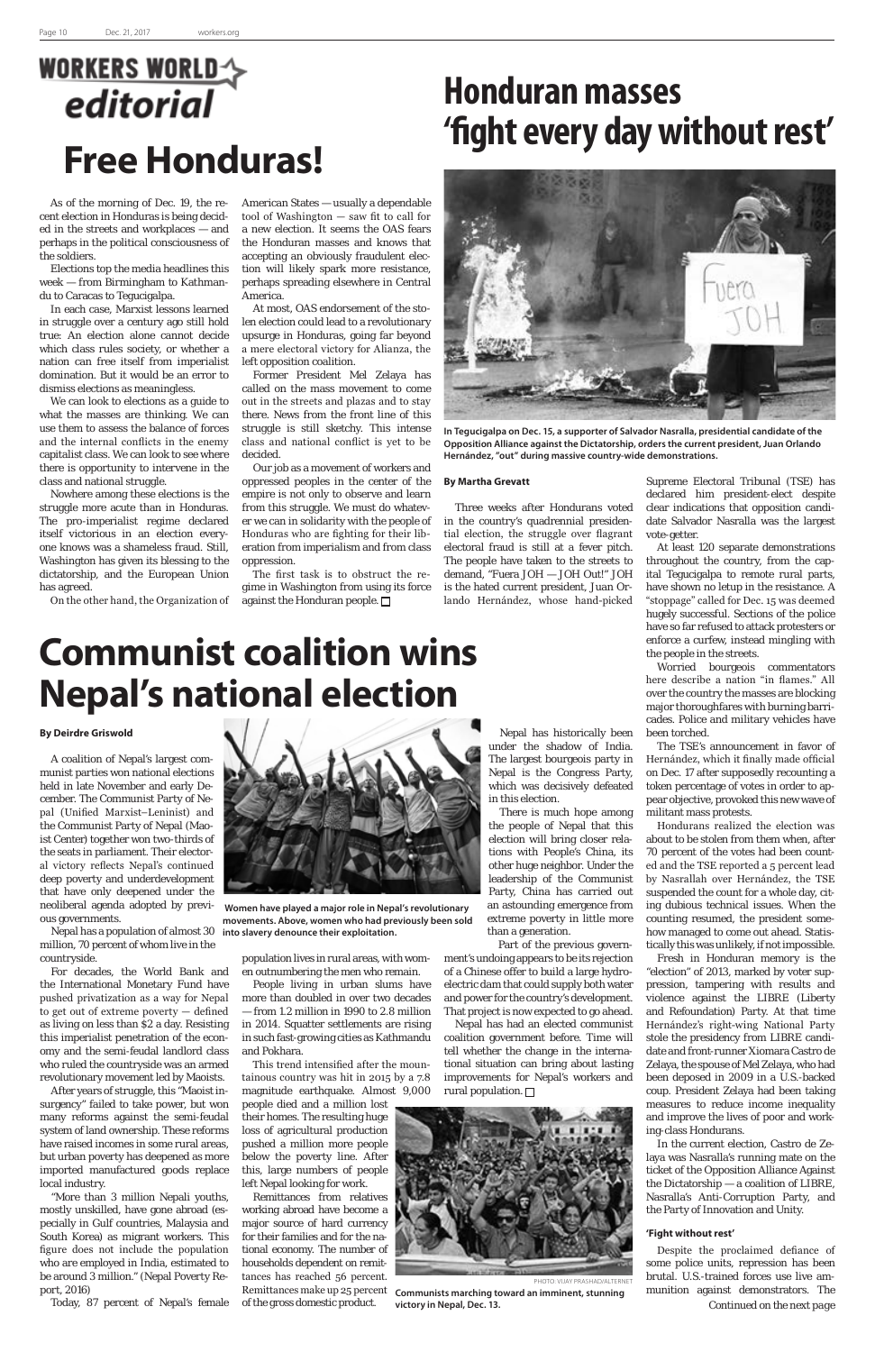## **WORKERS WORLD** editorial **Free Honduras!**

## **Honduran masses 'fight every day without rest'**

### **Communist coalition wins Nepal's national election**

As of the morning of Dec. 19, the recent election in Honduras is being decided in the streets and workplaces — and perhaps in the political consciousness of the soldiers.

Elections top the media headlines this week — from Birmingham to Kathmandu to Caracas to Tegucigalpa.

In each case, Marxist lessons learned in struggle over a century ago still hold true: An election alone cannot decide which class rules society, or whether a nation can free itself from imperialist domination. But it would be an error to dismiss elections as meaningless.

We can look to elections as a guide to what the masses are thinking. We can use them to assess the balance of forces and the internal conflicts in the enemy capitalist class. We can look to see where there is opportunity to intervene in the class and national struggle.

Nowhere among these elections is the struggle more acute than in Honduras. The pro-imperialist regime declared itself victorious in an election everyone knows was a shameless fraud. Still, Washington has given its blessing to the dictatorship, and the European Union has agreed.

The first task is to obstruct the regime in Washington from using its force against the Honduran people.  $\Box$ 

On the other hand, the Organization of

American States — usually a dependable tool of Washington — saw fit to call for a new election. It seems the OAS fears the Honduran masses and knows that accepting an obviously fraudulent election will likely spark more resistance, perhaps spreading elsewhere in Central America.

At most, OAS endorsement of the stolen election could lead to a revolutionary upsurge in Honduras, going far beyond a mere electoral victory for Alianza, the left opposition coalition.

Former President Mel Zelaya has called on the mass movement to come out in the streets and plazas and to stay there. News from the front line of this struggle is still sketchy. This intense class and national conflict is yet to be decided.

Our job as a movement of workers and oppressed peoples in the center of the empire is not only to observe and learn from this struggle. We must do whatever we can in solidarity with the people of Honduras who are fighting for their liberation from imperialism and from class oppression.

#### **By Martha Grevatt**

Three weeks after Hondurans voted in the country's quadrennial presidential election, the struggle over flagrant electoral fraud is still at a fever pitch. The people have taken to the streets to demand, "Fuera JOH — JOH Out!" JOH is the hated current president, Juan Orlando Hernández, whose hand-picked

Supreme Electoral Tribunal (TSE) has declared him president-elect despite clear indications that opposition candidate Salvador Nasralla was the largest vote-getter.

At least 120 separate demonstrations throughout the country, from the capital Tegucigalpa to remote rural parts, have shown no letup in the resistance. A "stoppage" called for Dec. 15 was deemed hugely successful. Sections of the police have so far refused to attack protesters or enforce a curfew, instead mingling with

the people in the streets.

Worried bourgeois commentators here describe a nation "in flames." All over the country the masses are blocking major thoroughfares with burning barricades. Police and military vehicles have been torched.

The TSE's announcement in favor of Hernández, which it finally made official on Dec. 17 after supposedly recounting a token percentage of votes in order to appear objective, provoked this new wave of militant mass protests.

Hondurans realized the election was about to be stolen from them when, after 70 percent of the votes had been counted and the TSE reported a 5 percent lead by Nasrallah over Hernández, the TSE suspended the count for a whole day, citing dubious technical issues. When the counting resumed, the president somehow managed to come out ahead. Statistically this was unlikely, if not impossible.

Part of the previous government's undoing appears to be its rejection of a Chinese offer to build a large hydroelectric dam that could supply both water and power for the country's development. That project is now expected to go ahead. Nepal has had an elected communist coalition government before. Time will tell whether the change in the international situation can bring about lasting improvements for Nepal's workers and rural population.  $\Box$ 

Fresh in Honduran memory is the "election" of 2013, marked by voter suppression, tampering with results and violence against the LIBRE (Liberty and Refoundation) Party. At that time Hernández's right-wing National Party stole the presidency from LIBRE candidate and front-runner Xiomara Castro de Zelaya, the spouse of Mel Zelaya, who had been deposed in 2009 in a U.S.-backed coup. President Zelaya had been taking measures to reduce income inequality and improve the lives of poor and working-class Hondurans. In the current election, Castro de Zelaya was Nasralla's running mate on the ticket of the Opposition Alliance Against the Dictatorship — a coalition of LIBRE, Nasralla's Anti-Corruption Party, and the Party of Innovation and Unity.

#### **'Fight without rest'**

#### **By Deirdre Griswold**

A coalition of Nepal's largest communist parties won national elections held in late November and early December. The Communist Party of Nepal (Unified Marxist–Leninist) and the Communist Party of Nepal (Maoist Center) together won two-thirds of the seats in parliament. Their electoral victory reflects Nepal's continued deep poverty and underdevelopment that have only deepened under the neoliberal agenda adopted by previous governments.

Nepal has a population of almost 30 million, 70 percent of whom live in the countryside.

For decades, the World Bank and the International Monetary Fund have pushed privatization as a way for Nepal to get out of extreme poverty — defined as living on less than \$2 a day. Resisting this imperialist penetration of the economy and the semi-feudal landlord class who ruled the countryside was an armed revolutionary movement led by Maoists. After years of struggle, this "Maoist insurgency" failed to take power, but won many reforms against the semi-feudal system of land ownership. These reforms have raised incomes in some rural areas, but urban poverty has deepened as more imported manufactured goods replace local industry. "More than 3 million Nepali youths, mostly unskilled, have gone abroad (especially in Gulf countries, Malaysia and South Korea) as migrant workers. This figure does not include the population who are employed in India, estimated to be around 3 million." (Nepal Poverty Report, 2016)

Today, 87 percent of Nepal's female

population lives in rural areas, with women outnumbering the men who remain.

People living in urban slums have

more than doubled in over two decades — from 1.2 million in 1990 to 2.8 million in 2014. Squatter settlements are rising in such fast-growing cities as Kathmandu and Pokhara.

> Despite the proclaimed defiance of some police units, repression has been brutal. U.S.-trained forces use live ammunition against demonstrators. The *Continued on the next page*

This trend intensified after the mountainous country was hit in 2015 by a 7.8 magnitude earthquake. Almost 9,000 people died and a million lost their homes. The resulting huge loss of agricultural production pushed a million more people below the poverty line. After this, large numbers of people left Nepal looking for work.

Remittances from relatives working abroad have become a major source of hard currency for their families and for the national economy. The number of households dependent on remittances has reached 56 percent. Remittances make up 25 percent of the gross domestic product.



PHOTO: VIJAY PRASHAD/ALTERNE

Nepal has historically been under the shadow of India. The largest bourgeois party in Nepal is the Congress Party, which was decisively defeated in this election.

There is much hope among the people of Nepal that this election will bring closer relations with People's China, its other huge neighbor. Under the leadership of the Communist Party, China has carried out an astounding emergence from extreme poverty in little more than a generation.

**Communists marching toward an imminent, stunning victory in Nepal, Dec. 13.**



 **Women have played a major role in Nepal's revolutionary movements. Above, women who had previously been sold into slavery denounce their exploitation.**



**In Tegucigalpa on Dec. 15, a supporter of Salvador Nasralla, presidential candidate of the Opposition Alliance against the Dictatorship, orders the current president, Juan Orlando Hernández, "out" during massive country-wide demonstrations.**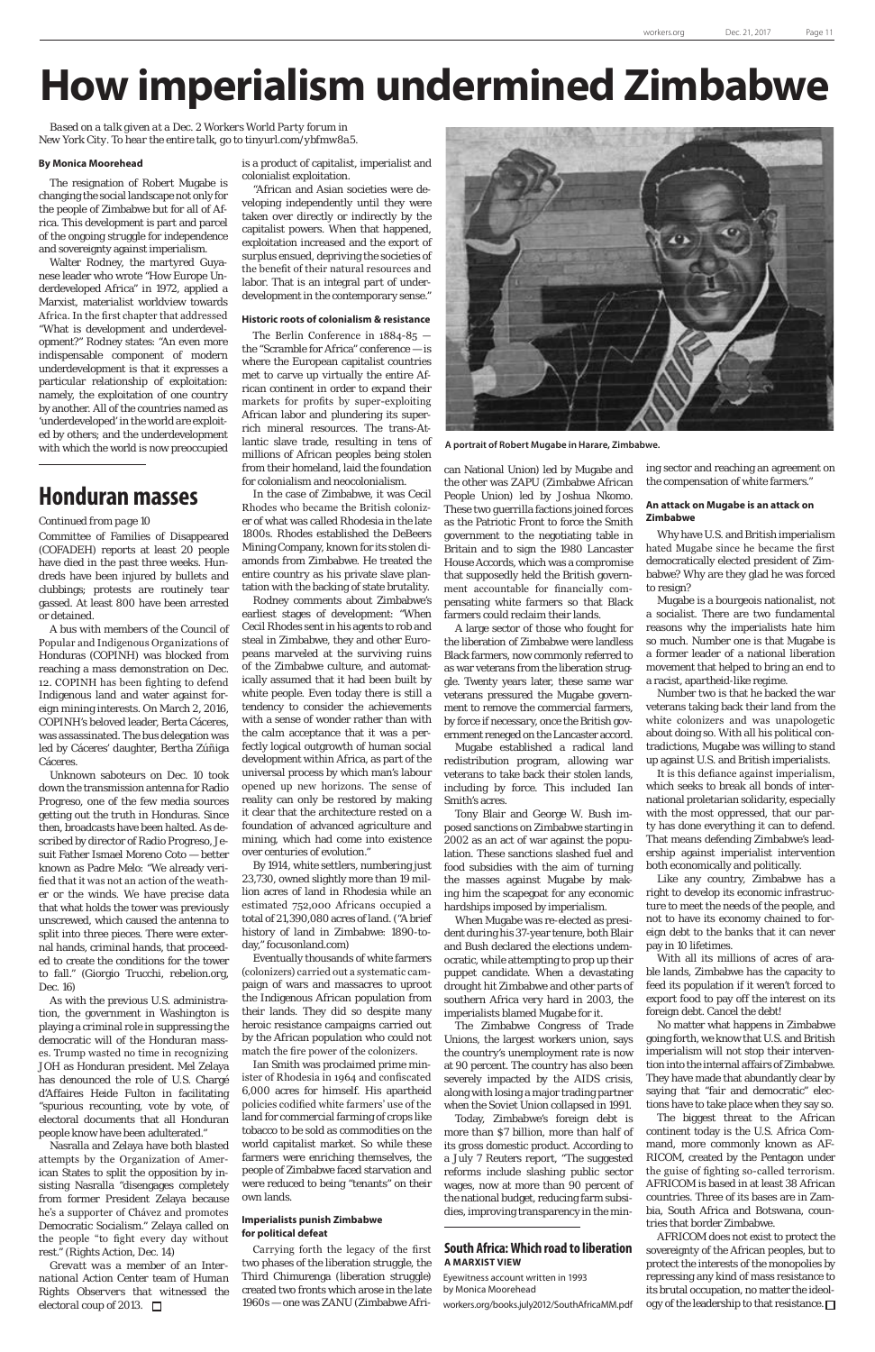## **How imperialism undermined Zimbabwe**

*Based on a talk given at a Dec. 2 Workers World Party forum in New York City. To hear the entire talk, go to tinyurl.com/ybfmw8a5.*

#### **By Monica Moorehead**

The resignation of Robert Mugabe is changing the social landscape not only for the people of Zimbabwe but for all of Africa. This development is part and parcel of the ongoing struggle for independence and sovereignty against imperialism.

Walter Rodney, the martyred Guyanese leader who wrote "How Europe Underdeveloped Africa" in 1972, applied a Marxist, materialist worldview towards Africa. In the first chapter that addressed "What is development and underdevelopment?" Rodney states: "An even more indispensable component of modern underdevelopment is that it expresses a particular relationship of exploitation: namely, the exploitation of one country by another. All of the countries named as 'underdeveloped' in the world are exploited by others; and the underdevelopment with which the world is now preoccupied

is a product of capitalist, imperialist and colonialist exploitation.

"African and Asian societies were developing independently until they were taken over directly or indirectly by the capitalist powers. When that happened, exploitation increased and the export of surplus ensued, depriving the societies of the benefit of their natural resources and labor. That is an integral part of underdevelopment in the contemporary sense."

#### **Historic roots of colonialism & resistance**

The Berlin Conference in 1884-85 the "Scramble for Africa" conference — is where the European capitalist countries met to carve up virtually the entire African continent in order to expand their markets for profits by super-exploiting African labor and plundering its superrich mineral resources. The trans-Atlantic slave trade, resulting in tens of millions of African peoples being stolen from their homeland, laid the foundation for colonialism and neocolonialism.

In the case of Zimbabwe, it was Cecil Rhodes who became the British colonizer of what was called Rhodesia in the late 1800s. Rhodes established the DeBeers Mining Company, known for its stolen diamonds from Zimbabwe. He treated the entire country as his private slave plantation with the backing of state brutality.

Rodney comments about Zimbabwe's earliest stages of development: "When Cecil Rhodes sent in his agents to rob and steal in Zimbabwe, they and other Europeans marveled at the surviving ruins of the Zimbabwe culture, and automatically assumed that it had been built by white people. Even today there is still a tendency to consider the achievements with a sense of wonder rather than with the calm acceptance that it was a perfectly logical outgrowth of human social development within Africa, as part of the universal process by which man's labour opened up new horizons. The sense of reality can only be restored by making it clear that the architecture rested on a foundation of advanced agriculture and mining, which had come into existence over centuries of evolution."

By 1914, white settlers, numbering just 23,730, owned slightly more than 19 million acres of land in Rhodesia while an estimated 752,000 Africans occupied a total of 21,390,080 acres of land. ("A brief history of land in Zimbabwe: 1890-today," focusonland.com)

Eventually thousands of white farmers (colonizers) carried out a systematic campaign of wars and massacres to uproot the Indigenous African population from their lands. They did so despite many heroic resistance campaigns carried out by the African population who could not match the fire power of the colonizers. Ian Smith was proclaimed prime minister of Rhodesia in 1964 and confiscated 6,000 acres for himself. His apartheid policies codified white farmers' use of the land for commercial farming of crops like tobacco to be sold as commodities on the world capitalist market. So while these farmers were enriching themselves, the people of Zimbabwe faced starvation and were reduced to being "tenants" on their own lands.



#### **Imperialists punish Zimbabwe for political defeat**

Carrying forth the legacy of the first two phases of the liberation struggle, the Third Chimurenga (liberation struggle) created two fronts which arose in the late 1960s — one was ZANU (Zimbabwe Afri-

AFRICOM does not exist to protect the sovereignty of the African peoples, but to protect the interests of the monopolies by repressing any kind of mass resistance to its brutal occupation, no matter the ideology of the leadership to that resistance.  $\square$ 

can National Union) led by Mugabe and the other was ZAPU (Zimbabwe African People Union) led by Joshua Nkomo. These two guerrilla factions joined forces as the Patriotic Front to force the Smith government to the negotiating table in Britain and to sign the 1980 Lancaster House Accords, which was a compromise that supposedly held the British government accountable for financially compensating white farmers so that Black farmers could reclaim their lands.

A large sector of those who fought for the liberation of Zimbabwe were landless Black farmers, now commonly referred to as war veterans from the liberation struggle. Twenty years later, these same war veterans pressured the Mugabe government to remove the commercial farmers, by force if necessary, once the British government reneged on the Lancaster accord.

Mugabe established a radical land redistribution program, allowing war veterans to take back their stolen lands, including by force. This included Ian Smith's acres.

Tony Blair and George W. Bush imposed sanctions on Zimbabwe starting in 2002 as an act of war against the population. These sanctions slashed fuel and food subsidies with the aim of turning the masses against Mugabe by making him the scapegoat for any economic hardships imposed by imperialism.

When Mugabe was re-elected as president during his 37-year tenure, both Blair and Bush declared the elections undemocratic, while attempting to prop up their puppet candidate. When a devastating drought hit Zimbabwe and other parts of

southern Africa very hard in 2003, the imperialists blamed Mugabe for it.

The Zimbabwe Congress of Trade Unions, the largest workers union, says the country's unemployment rate is now at 90 percent. The country has also been severely impacted by the AIDS crisis, along with losing a major trading partner when the Soviet Union collapsed in 1991.

Today, Zimbabwe's foreign debt is more than \$7 billion, more than half of its gross domestic product. According to a July 7 Reuters report, "The suggested reforms include slashing public sector wages, now at more than 90 percent of the national budget, reducing farm subsidies, improving transparency in the mining sector and reaching an agreement on the compensation of white farmers."

#### **An attack on Mugabe is an attack on Zimbabwe**

Why have U.S. and British imperialism hated Mugabe since he became the first democratically elected president of Zimbabwe? Why are they glad he was forced to resign?

Mugabe is a bourgeois nationalist, not a socialist. There are two fundamental reasons why the imperialists hate him so much. Number one is that Mugabe is a former leader of a national liberation movement that helped to bring an end to a racist, apartheid-like regime.

Number two is that he backed the war veterans taking back their land from the white colonizers and was unapologetic about doing so. With all his political contradictions, Mugabe was willing to stand up against U.S. and British imperialists.

It is this defiance against imperialism, which seeks to break all bonds of international proletarian solidarity, especially with the most oppressed, that our party has done everything it can to defend. That means defending Zimbabwe's leadership against imperialist intervention both economically and politically.

Like any country, Zimbabwe has a right to develop its economic infrastructure to meet the needs of the people, and not to have its economy chained to foreign debt to the banks that it can never pay in 10 lifetimes.

With all its millions of acres of arable lands, Zimbabwe has the capacity to feed its population if it weren't forced to

export food to pay off the interest on its foreign debt. Cancel the debt!

No matter what happens in Zimbabwe going forth, we know that U.S. and British imperialism will not stop their intervention into the internal affairs of Zimbabwe. They have made that abundantly clear by saying that "fair and democratic" elections have to take place when they say so. The biggest threat to the African continent today is the U.S. Africa Command, more commonly known as AF-RICOM, created by the Pentagon under the guise of fighting so-called terrorism.

AFRICOM is based in at least 38 African countries. Three of its bases are in Zambia, South Africa and Botswana, countries that border Zimbabwe.

Committee of Families of Disappeared (COFADEH) reports at least 20 people have died in the past three weeks. Hundreds have been injured by bullets and clubbings; protests are routinely tear gassed. At least 800 have been arrested or detained.

A bus with members of the Council of Popular and Indigenous Organizations of Honduras (COPINH) was blocked from reaching a mass demonstration on Dec. 12. COPINH has been fighting to defend Indigenous land and water against foreign mining interests. On March 2, 2016, COPINH's beloved leader, Berta Cáceres, was assassinated. The bus delegation was led by Cáceres' daughter, Bertha Zúñiga Cáceres.

Unknown saboteurs on Dec. 10 took down the transmission antenna for Radio Progreso, one of the few media sources getting out the truth in Honduras. Since then, broadcasts have been halted. As described by director of Radio Progreso, Jesuit Father Ismael Moreno Coto — better known as Padre Melo: "We already verified that it was not an action of the weather or the winds. We have precise data that what holds the tower was previously unscrewed, which caused the antenna to split into three pieces. There were external hands, criminal hands, that proceeded to create the conditions for the tower to fall." (Giorgio Trucchi, rebelion.org, Dec. 16) As with the previous U.S. administration, the government in Washington is playing a criminal role in suppressing the democratic will of the Honduran masses. Trump wasted no time in recognizing JOH as Honduran president. Mel Zelaya has denounced the role of U.S. Chargé d'Affaires Heide Fulton in facilitating "spurious recounting, vote by vote, of electoral documents that all Honduran people know have been adulterated." Nasralla and Zelaya have both blasted attempts by the Organization of American States to split the opposition by insisting Nasralla "disengages completely from former President Zelaya because he's a supporter of Chávez and promotes Democratic Socialism." Zelaya called on the people "to fight every day without rest." (Rights Action, Dec. 14) *Grevatt was a member of an International Action Center team of Human Rights Observers that witnessed the electoral coup of 2013.* 

**A portrait of Robert Mugabe in Harare, Zimbabwe.**

#### *Continued from page 10*

### **Honduran masses**

#### **South Africa: Which road to liberation A MARXIST VIEW**

Eyewitness account written in 1993 by Monica Moorehead

workers.org/books.july2012/SouthAfricaMM.pdf